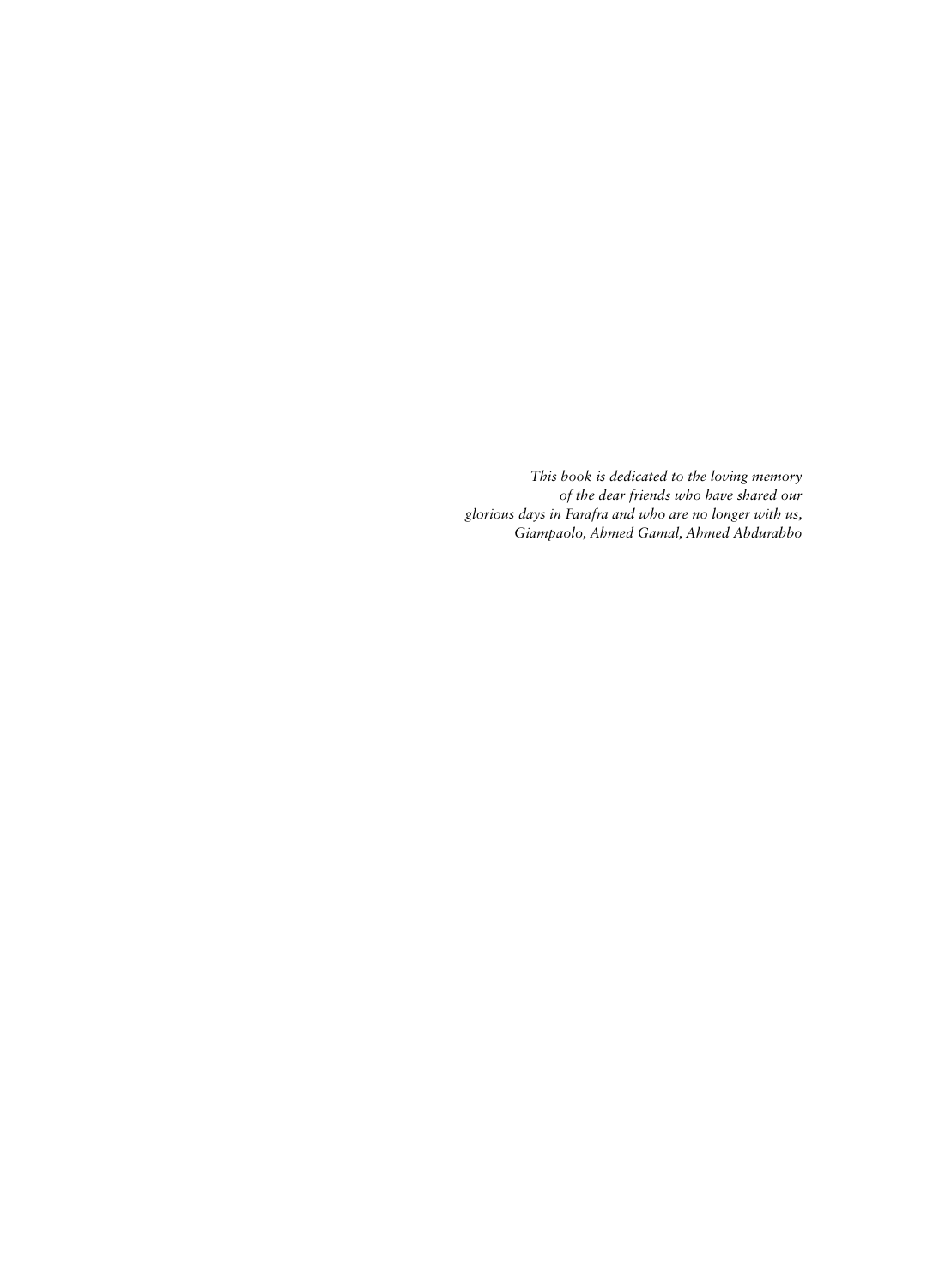*This book is dedicated to the loving memory of the dear friends who have shared our glorious days in Farafra and who are no longer with us, Giampaolo, Ahmed Gamal, Ahmed Abdurabbo*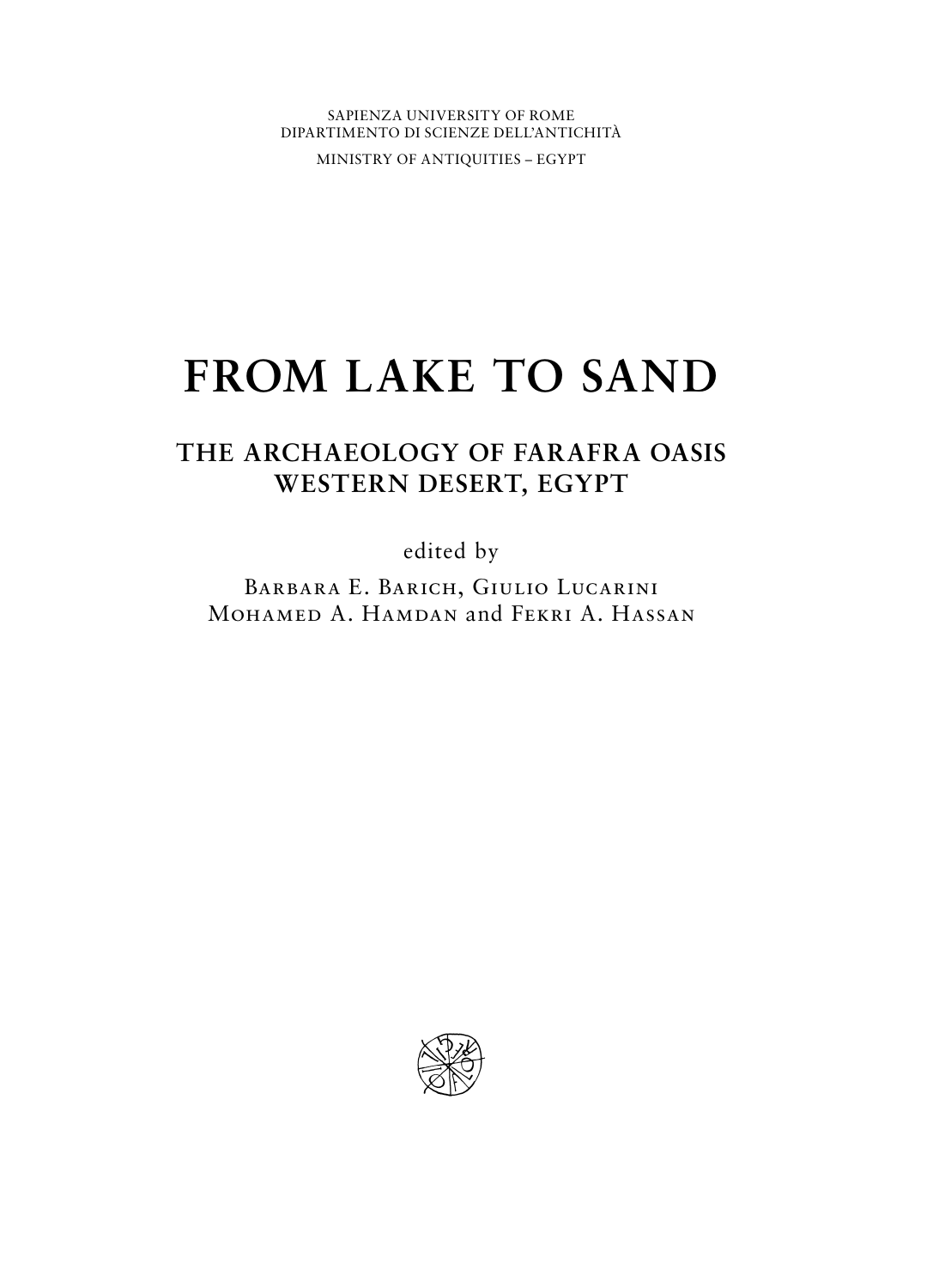SAPIENZA UNIVERSITY OF ROME DIPARTIMENTO DI SCIENZE DELL'ANTICHITÀ

MINISTRY OF ANTIQUITIES – EGYPT

# **FROM LAKE TO SAND**

# **THE ARCHAEOLOGY OF FARAFRA OASIS WESTERN DESERT, EGYPT**

edited by

Barbara E. Barich, Giulio Lucarini MOHAMED A. HAMDAN and FEKRI A. HASSAN

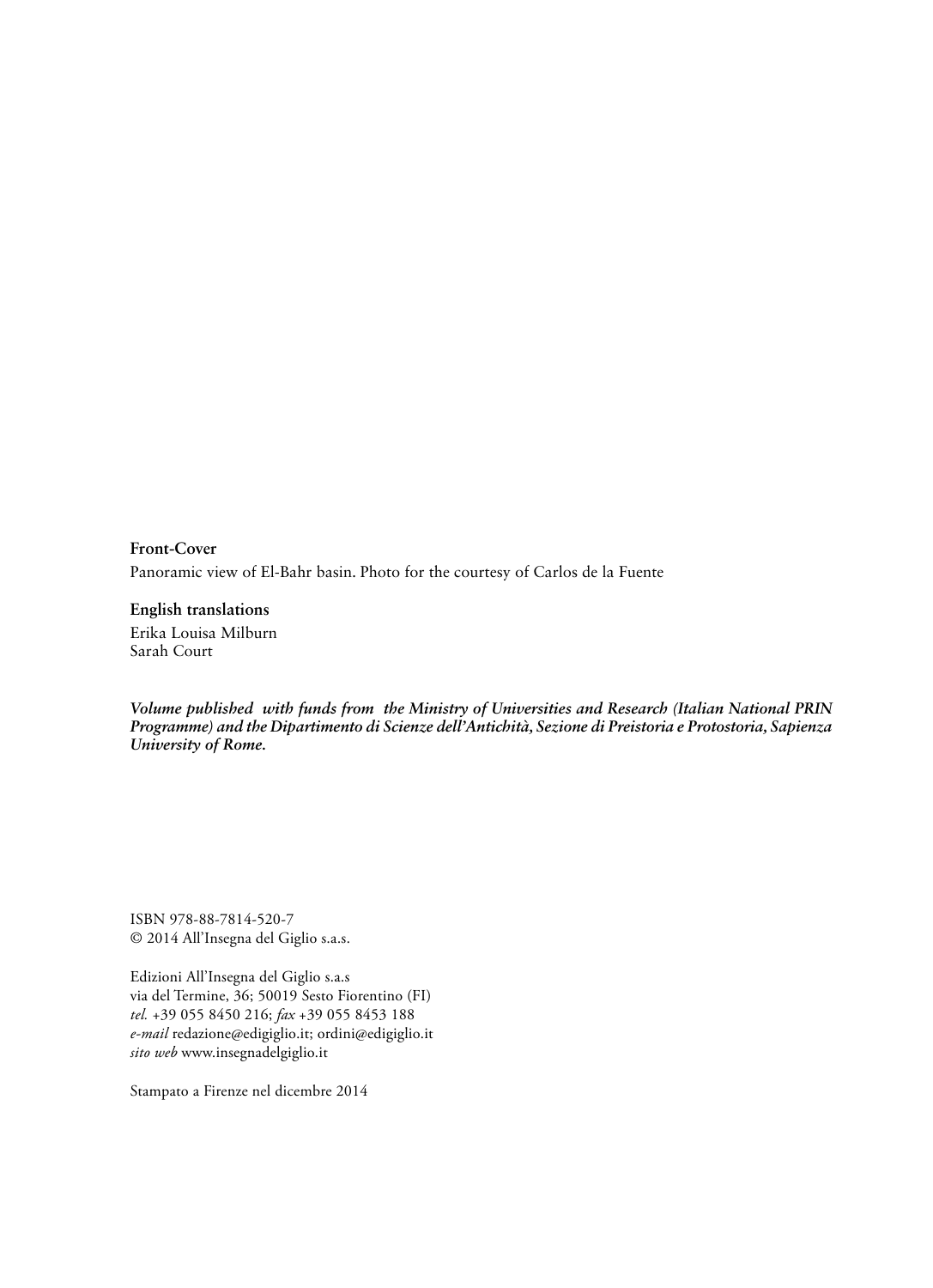**Front-Cover**  Panoramic view of El-Bahr basin. Photo for the courtesy of Carlos de la Fuente

**English translations**  Erika Louisa Milburn Sarah Court

*Volume published with funds from the Ministry of Universities and Research (Italian National PRIN Programme) and the Dipartimento di Scienze dell'Antichità, Sezione di Preistoria e Protostoria, Sapienza University of Rome.*

ISBN 978-88-7814-520-7 © 2014 All'Insegna del Giglio s.a.s.

Edizioni All'Insegna del Giglio s.a.s via del Termine, 36; 50019 Sesto Fiorentino (FI) *tel.* +39 055 8450 216; *fax* +39 055 8453 188 *e-mail* redazione@edigiglio.it; ordini@edigiglio.it *sito web* www.insegnadelgiglio.it

Stampato a Firenze nel dicembre 2014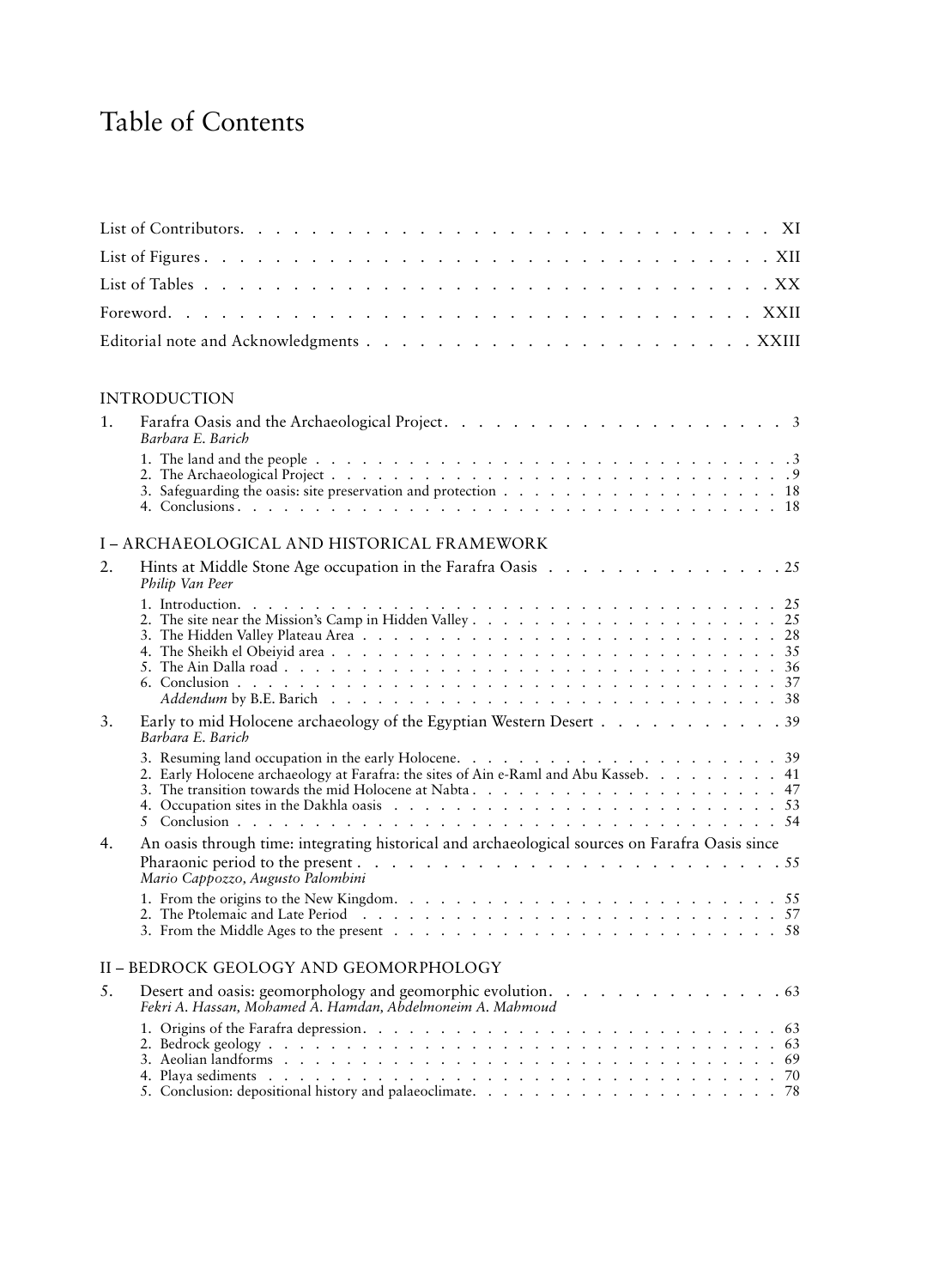# Table of Contents

#### INTRODUCTION

| Barbara E. Barich |  |
|-------------------|--|
|                   |  |
|                   |  |
|                   |  |
|                   |  |

#### I – ARCHAEOLOGICAL AND HISTORICAL FRAMEWORK

| 2. | Philip Van Peer                                                                                                                                                                           |
|----|-------------------------------------------------------------------------------------------------------------------------------------------------------------------------------------------|
|    |                                                                                                                                                                                           |
|    |                                                                                                                                                                                           |
|    |                                                                                                                                                                                           |
| 3. | Early to mid Holocene archaeology of the Egyptian Western Desert 39<br>Barbara E. Barich                                                                                                  |
|    | 2. Early Holocene archaeology at Farafra: the sites of Ain e-Raml and Abu Kasseb. 41                                                                                                      |
|    |                                                                                                                                                                                           |
| 4. | An oasis through time: integrating historical and archaeological sources on Farafra Oasis since                                                                                           |
|    | Pharaonic period to the present $\ldots$ $\ldots$ $\ldots$ $\ldots$ $\ldots$ $\ldots$ $\ldots$ $\ldots$ $\ldots$ $\ldots$ $\ldots$ $\ldots$ $\ldots$<br>Mario Cappozzo, Augusto Palombini |
|    |                                                                                                                                                                                           |
|    |                                                                                                                                                                                           |
|    | II - BEDROCK GEOLOGY AND GEOMORPHOLOGY                                                                                                                                                    |
| 5. | Desert and oasis: geomorphology and geomorphic evolution. 63<br>Fekri A. Hassan, Mohamed A. Hamdan, Abdelmoneim A. Mahmoud                                                                |
|    |                                                                                                                                                                                           |
|    |                                                                                                                                                                                           |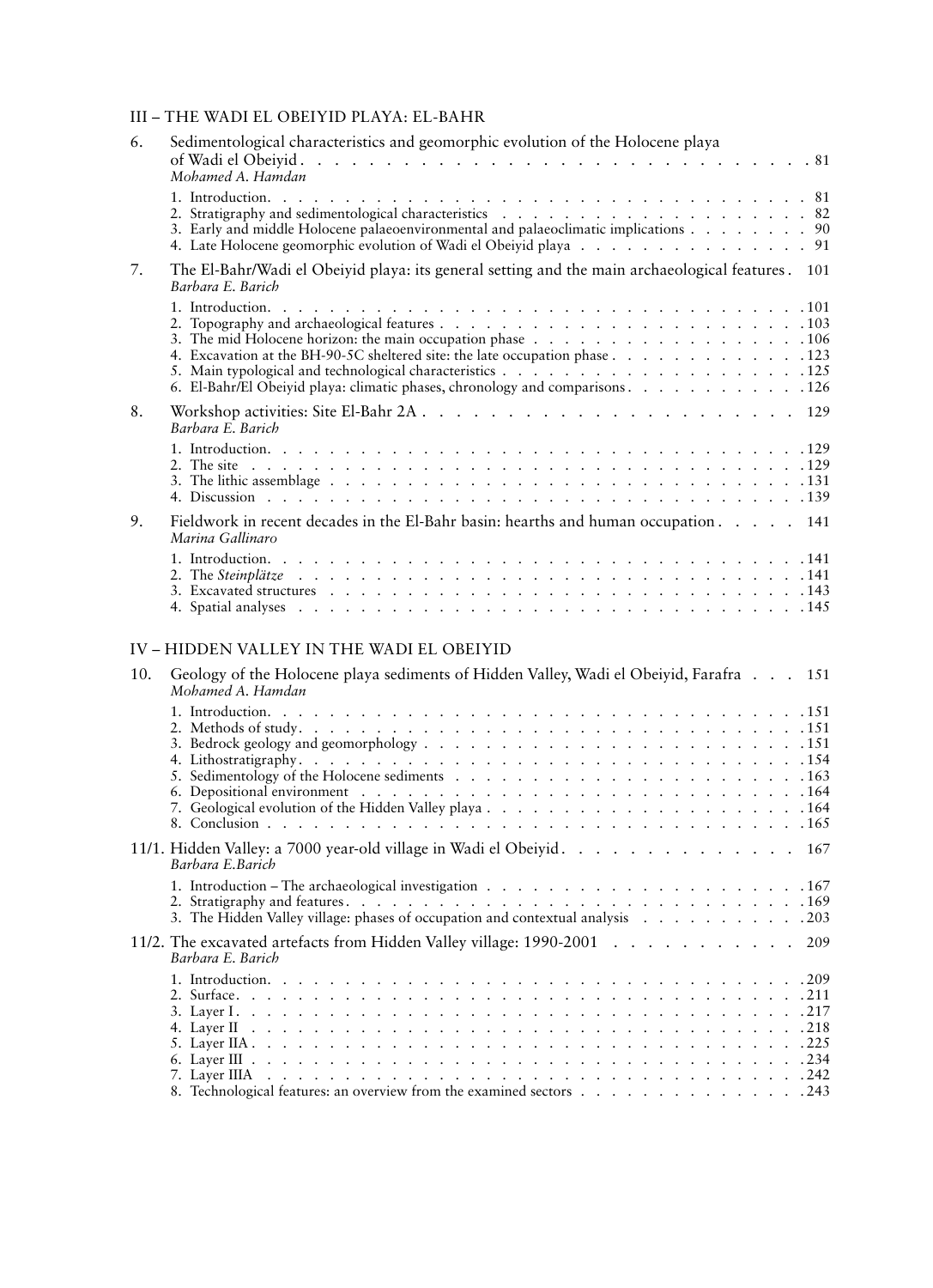#### III – THE WADI EL OBEIYID PLAYA: EL-BAHR

| 6.  | Sedimentological characteristics and geomorphic evolution of the Holocene playa<br>Mohamed A. Hamdan                                                         |
|-----|--------------------------------------------------------------------------------------------------------------------------------------------------------------|
|     | 3. Early and middle Holocene palaeoenvironmental and palaeoclimatic implications 90<br>4. Late Holocene geomorphic evolution of Wadi el Obeiyid playa 91     |
| 7.  | The El-Bahr/Wadi el Obeiyid playa: its general setting and the main archaeological features. 101<br>Barbara E. Barich                                        |
|     | 4. Excavation at the BH-90-5C sheltered site: the late occupation phase 123<br>6. El-Bahr/El Obeiyid playa: climatic phases, chronology and comparisons. 126 |
| 8.  | Barbara E. Barich                                                                                                                                            |
|     |                                                                                                                                                              |
| 9.  | Fieldwork in recent decades in the El-Bahr basin: hearths and human occupation 141<br>Marina Gallinaro                                                       |
|     |                                                                                                                                                              |
|     | IV - HIDDEN VALLEY IN THE WADI EL OBEIYID                                                                                                                    |
| 10. | Geology of the Holocene playa sediments of Hidden Valley, Wadi el Obeiyid, Farafra 151<br>Mohamed A. Hamdan                                                  |
|     | 7. Geological evolution of the Hidden Valley playa164                                                                                                        |
|     | 11/1. Hidden Valley: a 7000 year-old village in Wadi el Obeiyid. 167<br>Barbara E.Barich                                                                     |
|     | 3. The Hidden Valley village: phases of occupation and contextual analysis 203                                                                               |
|     | 11/2. The excavated artefacts from Hidden Valley village: 1990-2001<br>209<br>Barbara E. Barich                                                              |
|     | 8. Technological features: an overview from the examined sectors 243                                                                                         |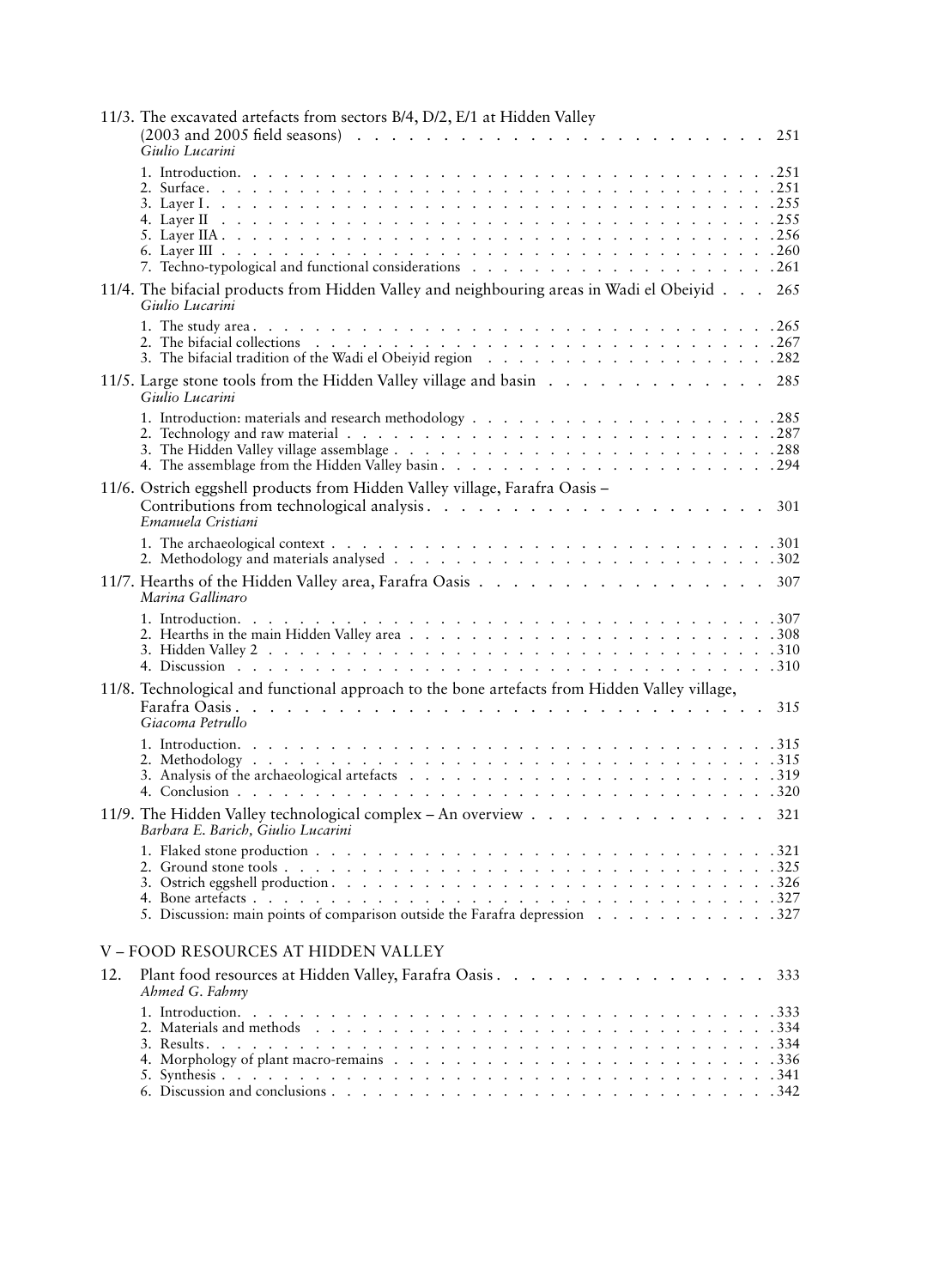|     | 11/3. The excavated artefacts from sectors B/4, D/2, E/1 at Hidden Valley<br>Giulio Lucarini                    | 251 |
|-----|-----------------------------------------------------------------------------------------------------------------|-----|
|     |                                                                                                                 |     |
|     | 11/4. The bifacial products from Hidden Valley and neighbouring areas in Wadi el Obeiyid 265<br>Giulio Lucarini |     |
|     |                                                                                                                 |     |
|     | 11/5. Large stone tools from the Hidden Valley village and basin 285<br>Giulio Lucarini                         |     |
|     |                                                                                                                 |     |
|     | 11/6. Ostrich eggshell products from Hidden Valley village, Farafra Oasis -<br>Emanuela Cristiani               | 301 |
|     |                                                                                                                 |     |
|     | Marina Gallinaro                                                                                                |     |
|     |                                                                                                                 |     |
|     | 11/8. Technological and functional approach to the bone artefacts from Hidden Valley village,                   |     |
|     | Giacoma Petrullo                                                                                                | 315 |
|     |                                                                                                                 |     |
|     | 11/9. The Hidden Valley technological complex - An overview 321<br>Barbara E. Barich, Giulio Lucarini           |     |
|     | 5. Discussion: main points of comparison outside the Farafra depression 327                                     |     |
|     | V - FOOD RESOURCES AT HIDDEN VALLEY                                                                             |     |
| 12. | Plant food resources at Hidden Valley, Farafra Oasis. 333<br>Ahmed G. Fahmy                                     |     |
|     |                                                                                                                 |     |
|     |                                                                                                                 |     |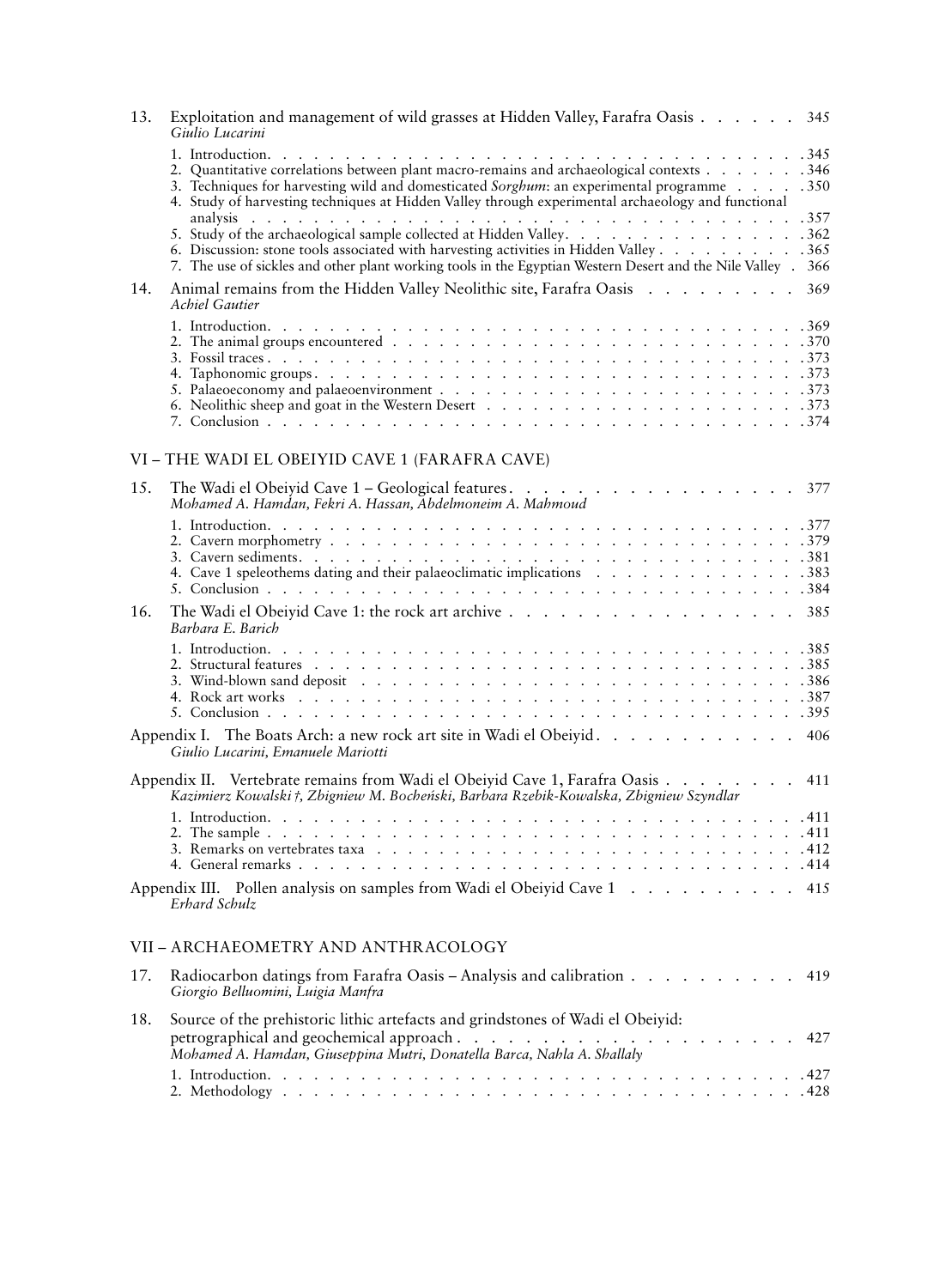| Exploitation and management of wild grasses at Hidden Valley, Farafra Oasis 345<br>13.<br>Giulio Lucarini                                                                                                                                                                                   |     |
|---------------------------------------------------------------------------------------------------------------------------------------------------------------------------------------------------------------------------------------------------------------------------------------------|-----|
| 2. Quantitative correlations between plant macro-remains and archaeological contexts 346<br>3. Techniques for harvesting wild and domesticated Sorghum: an experimental programme 350<br>4. Study of harvesting techniques at Hidden Valley through experimental archaeology and functional |     |
| 6. Discussion: stone tools associated with harvesting activities in Hidden Valley 365<br>7. The use of sickles and other plant working tools in the Egyptian Western Desert and the Nile Valley . 366                                                                                       |     |
| Animal remains from the Hidden Valley Neolithic site, Farafra Oasis 369<br>14.<br><b>Achiel Gautier</b>                                                                                                                                                                                     |     |
|                                                                                                                                                                                                                                                                                             |     |
| VI - THE WADI EL OBEIYID CAVE 1 (FARAFRA CAVE)                                                                                                                                                                                                                                              |     |
| The Wadi el Obeiyid Cave 1 - Geological features. 377<br>15.<br>Mohamed A. Hamdan, Fekri A. Hassan, Abdelmoneim A. Mahmoud                                                                                                                                                                  |     |
| 4. Cave 1 speleothems dating and their palaeoclimatic implications 383                                                                                                                                                                                                                      |     |
| The Wadi el Obeiyid Cave 1: the rock art archive 385<br>16.<br>Barbara E. Barich                                                                                                                                                                                                            |     |
|                                                                                                                                                                                                                                                                                             |     |
| Appendix I. The Boats Arch: a new rock art site in Wadi el Obeiyid. 406<br>Giulio Lucarini, Emanuele Mariotti                                                                                                                                                                               |     |
| Appendix II. Vertebrate remains from Wadi el Obeiyid Cave 1, Farafra Oasis<br>Kazimierz Kowalski †, Zbigniew M. Bocheński, Barbara Rzebik-Kowalska, Zbigniew Szyndlar                                                                                                                       | 411 |
|                                                                                                                                                                                                                                                                                             |     |
| Appendix III. Pollen analysis on samples from Wadi el Obeiyid Cave 1 415<br>Erhard Schulz                                                                                                                                                                                                   |     |
| VII - ARCHAEOMETRY AND ANTHRACOLOGY                                                                                                                                                                                                                                                         |     |
| Radiocarbon datings from Farafra Oasis – Analysis and calibration<br>17.<br>Giorgio Belluomini, Luigia Manfra                                                                                                                                                                               | 419 |
| Source of the prehistoric lithic artefacts and grindstones of Wadi el Obeiyid:<br>18.                                                                                                                                                                                                       | 427 |

1. Introduction . . . . . . . . . . . . . . . . . . . . . . . . . . . . . . . . . . 427 2. Methodology . . . . . . . . . . . . . . . . . . . . . . . . . . . . . . . . . 428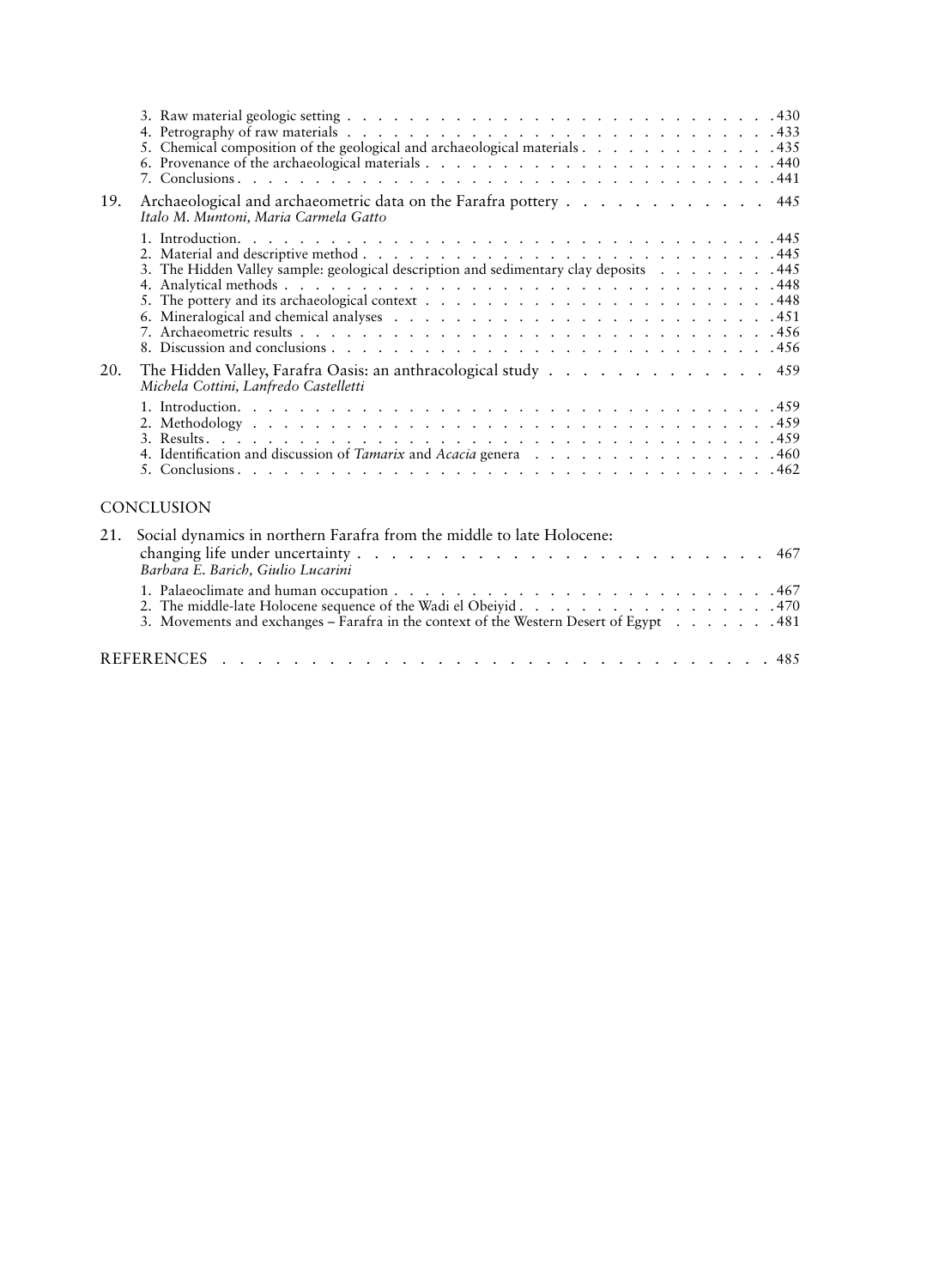|     | 5. Chemical composition of the geological and archaeological materials 435                                |
|-----|-----------------------------------------------------------------------------------------------------------|
| 19. | Archaeological and archaeometric data on the Farafra pottery 445<br>Italo M. Muntoni, Maria Carmela Gatto |
|     | 3. The Hidden Valley sample: geological description and sedimentary clay deposits 445                     |
| 20. | The Hidden Valley, Farafra Oasis: an anthracological study 459<br>Michela Cottini, Lanfredo Castelletti   |
|     |                                                                                                           |

#### **CONCLUSION**

| 21. Social dynamics in northern Farafra from the middle to late Holocene:              |  |
|----------------------------------------------------------------------------------------|--|
| Barbara E. Barich, Giulio Lucarini                                                     |  |
|                                                                                        |  |
|                                                                                        |  |
| 3. Movements and exchanges – Farafra in the context of the Western Desert of Egypt 481 |  |
|                                                                                        |  |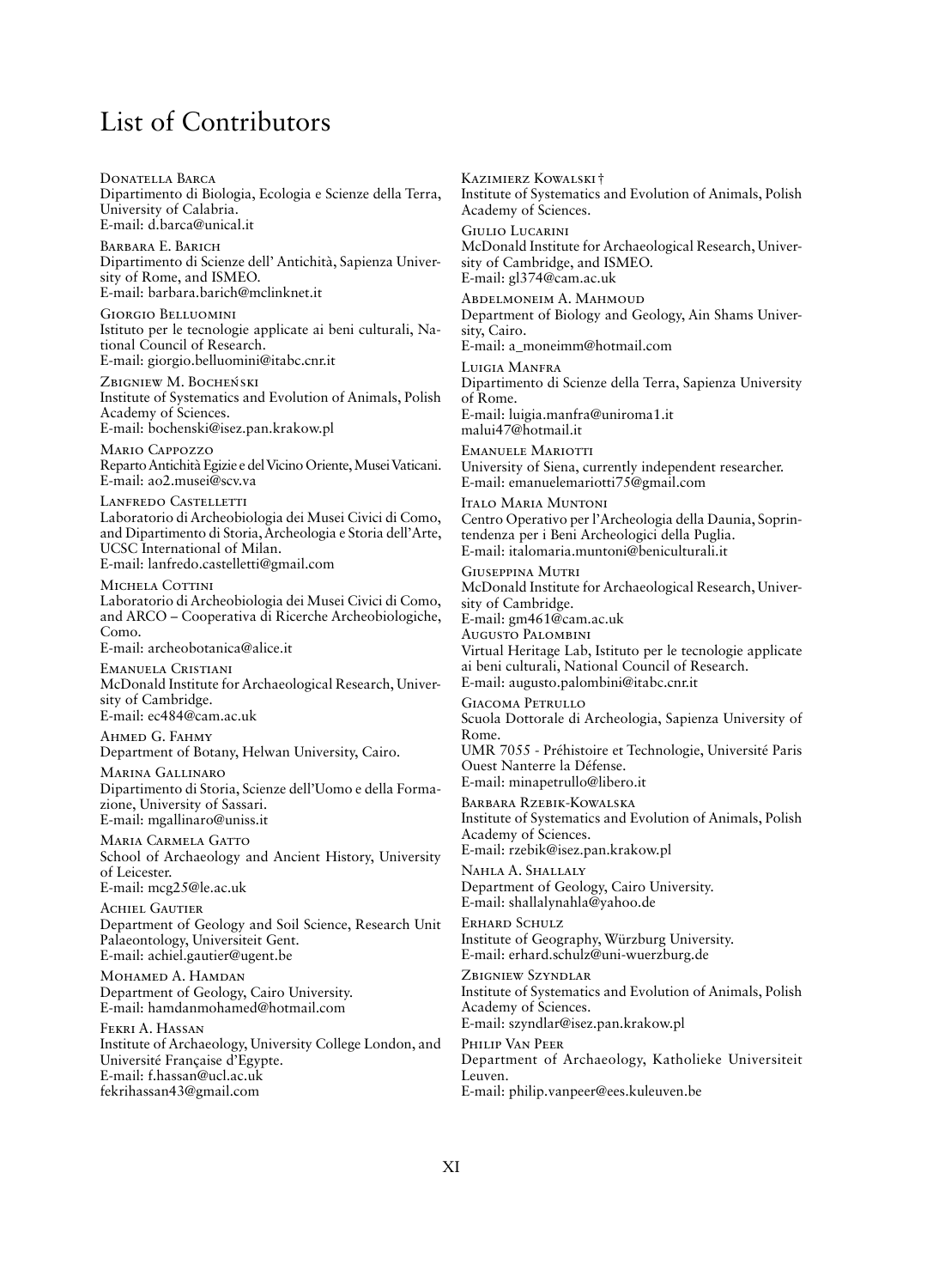# List of Contributors

Donatella Barca Dipartimento di Biologia, Ecologia e Scienze della Terra, University of Calabria. E-mail: d.barca@unical.it

Barbara E. Barich Dipartimento di Scienze dell' Antichità, Sapienza University of Rome, and ISMEO. E-mail: barbara.barich@mclinknet.it

Giorgio Belluomini Istituto per le tecnologie applicate ai beni culturali, National Council of Research. E-mail: giorgio.belluomini@itabc.cnr.it

ZBIGNIEW M. BOCHEŃSKI Institute of Systematics and Evolution of Animals, Polish Academy of Sciences. E-mail: bochenski@isez.pan.krakow.pl

Mario Cappozzo Reparto Antichità Egizie e del Vicino Oriente, Musei Vaticani. E-mail: ao2.musei@scv.va

Lanfredo Castelletti Laboratorio di Archeobiologia dei Musei Civici di Como, and Dipartimento di Storia, Archeologia e Storia dell'Arte, UCSC International of Milan. E-mail: lanfredo.castelletti@gmail.com

MICHELA COTTINI Laboratorio di Archeobiologia dei Musei Civici di Como, and ARCO – Cooperativa di Ricerche Archeobiologiche, Como.

E-mail: archeobotanica@alice.it

Emanuela Cristiani McDonald Institute for Archaeological Research, University of Cambridge. E-mail: ec484@cam.ac.uk

Ahmed G. Fahmy Department of Botany, Helwan University, Cairo.

Marina Gallinaro Dipartimento di Storia, Scienze dell'Uomo e della Formazione, University of Sassari. E-mail: mgallinaro@uniss.it

Maria Carmela Gatto School of Archaeology and Ancient History, University of Leicester. E-mail: mcg25@le.ac.uk

**ACHIEL GAUTIER** Department of Geology and Soil Science, Research Unit Palaeontology, Universiteit Gent. E-mail: achiel.gautier@ugent.be

MOHAMED A. HAMDAN Department of Geology, Cairo University. E-mail: hamdanmohamed@hotmail.com

Fekri A. Hassan Institute of Archaeology, University College London, and Université Française d'Egypte. E-mail: f.hassan@ucl.ac.uk fekrihassan43@gmail.com

Kazimierz Kowalski † Institute of Systematics and Evolution of Animals, Polish Academy of Sciences. Giulio Lucarini McDonald Institute for Archaeological Research, University of Cambridge, and ISMEO. E-mail: gl374@cam.ac.uk Abdelmoneim A. Mahmoud Department of Biology and Geology, Ain Shams University, Cairo. E-mail: a\_moneimm@hotmail.com Luigia Manfra Dipartimento di Scienze della Terra, Sapienza University of Rome. E-mail: luigia.manfra@uniroma1.it malui47@hotmail.it EMANUELE MARIOTTI University of Siena, currently independent researcher. E-mail: emanuelemariotti75@gmail.com Italo Maria Muntoni Centro Operativo per l'Archeologia della Daunia, Soprintendenza per i Beni Archeologici della Puglia. E-mail: italomaria.muntoni@beniculturali.it Giuseppina Mutri McDonald Institute for Archaeological Research, University of Cambridge. E-mail: gm461@cam.ac.uk Augusto Palombini Virtual Heritage Lab, Istituto per le tecnologie applicate ai beni culturali, National Council of Research. E-mail: augusto.palombini@itabc.cnr.it Giacoma Petrullo Scuola Dottorale di Archeologia, Sapienza University of Rome. UMR 7055 - Préhistoire et Technologie, Université Paris Ouest Nanterre la Défense. E-mail: minapetrullo@libero.it Barbara Rzebik-Kowalska Institute of Systematics and Evolution of Animals, Polish Academy of Sciences. E-mail: rzebik@isez.pan.krakow.pl Nahla A. Shallaly Department of Geology, Cairo University. E-mail: shallalynahla@yahoo.de Erhard Schulz Institute of Geography, Würzburg University. E-mail: erhard.schulz@uni-wuerzburg.de Zbigniew Szyndlar Institute of Systematics and Evolution of Animals, Polish Academy of Sciences. E-mail: szyndlar@isez.pan.krakow.pl

Philip Van Peer Department of Archaeology, Katholieke Universiteit Leuven. E-mail: philip.vanpeer@ees.kuleuven.be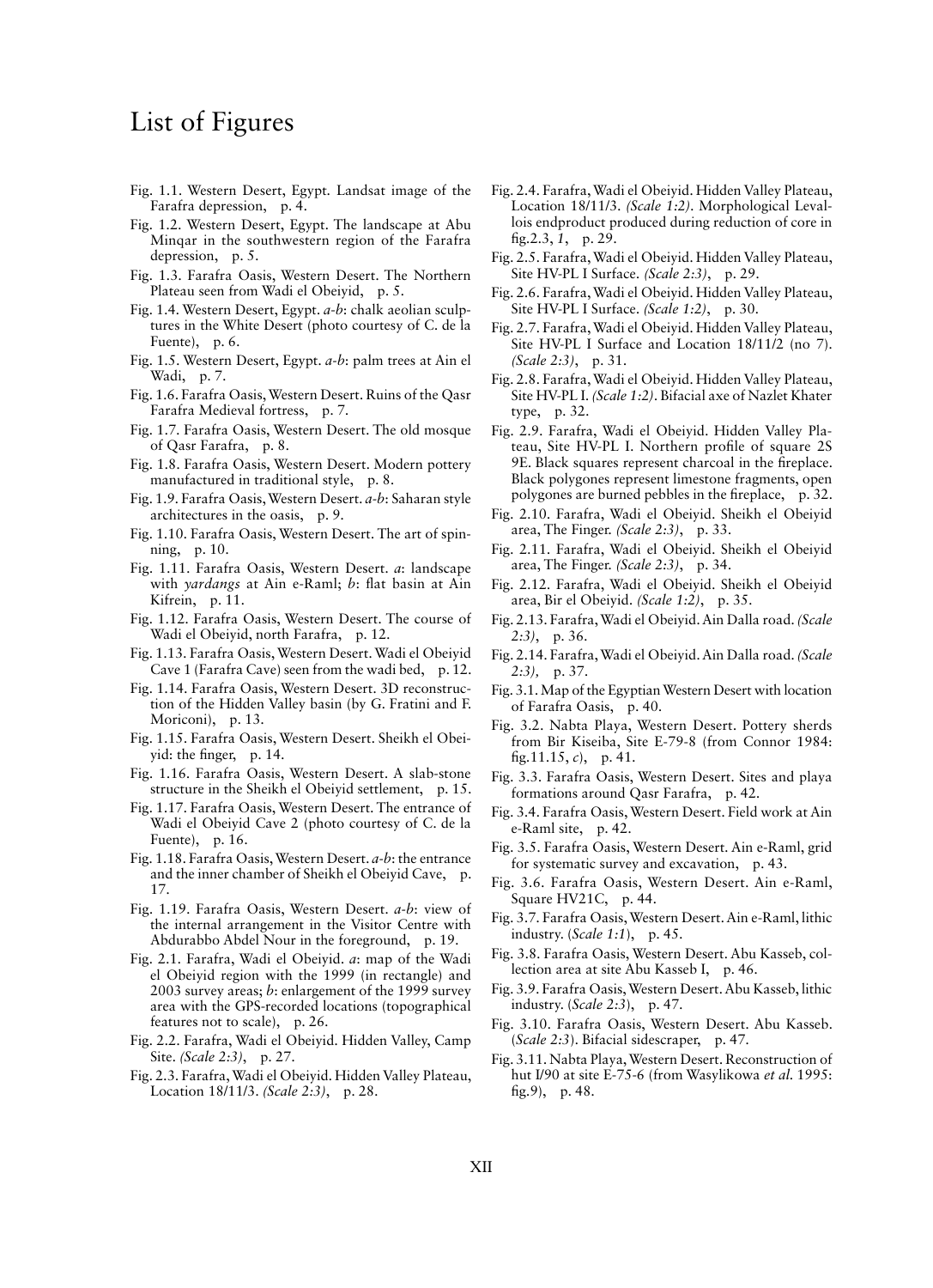# List of Figures

- Fig. 1.1. Western Desert, Egypt*.* Landsat image of the Farafra depression, p. 4.
- Fig. 1.2. Western Desert, Egypt. The landscape at Abu Minqar in the southwestern region of the Farafra depression, p. 5.
- Fig. 1.3. Farafra Oasis, Western Desert. The Northern Plateau seen from Wadi el Obeiyid, p. 5.
- Fig. 1.4. Western Desert, Egypt. *a*-*b*: chalk aeolian sculptures in the White Desert (photo courtesy of C. de la Fuente), p. 6.
- Fig. 1.5. Western Desert, Egypt. *a-b*: palm trees at Ain el Wadi, p. 7.
- Fig. 1.6. Farafra Oasis, Western Desert. Ruins of the Qasr Farafra Medieval fortress, p. 7.
- Fig. 1.7. Farafra Oasis, Western Desert. The old mosque of Qasr Farafra, p. 8.
- Fig. 1.8. Farafra Oasis, Western Desert. Modern pottery manufactured in traditional style, p. 8.
- Fig. 1.9. Farafra Oasis, Western Desert. *a-b*: Saharan style architectures in the oasis, p. 9.
- Fig. 1.10. Farafra Oasis, Western Desert. The art of spinning, p. 10.
- Fig. 1.11. Farafra Oasis, Western Desert. *a*: landscape with *yardangs* at Ain e-Raml; *b*: flat basin at Ain Kifrein, p. 11.
- Fig. 1.12. Farafra Oasis, Western Desert. The course of Wadi el Obeiyid, north Farafra, p. 12.
- Fig. 1.13. Farafra Oasis, Western Desert. Wadi el Obeiyid Cave 1 (Farafra Cave) seen from the wadi bed, p. 12.
- Fig. 1.14. Farafra Oasis, Western Desert. 3D reconstruction of the Hidden Valley basin (by G. Fratini and F. Moriconi), p. 13.
- Fig. 1.15. Farafra Oasis, Western Desert. Sheikh el Obeiyid: the finger, p. 14.
- Fig. 1.16. Farafra Oasis, Western Desert. A slab-stone structure in the Sheikh el Obeiyid settlement, p. 15.
- Fig. 1.17. Farafra Oasis, Western Desert. The entrance of Wadi el Obeiyid Cave 2 (photo courtesy of C. de la Fuente), p. 16.
- Fig. 1.18. Farafra Oasis, Western Desert. *a-b*: the entrance and the inner chamber of Sheikh el Obeiyid Cave, p. 17.
- Fig. 1.19. Farafra Oasis, Western Desert. *a-b*: view of the internal arrangement in the Visitor Centre with Abdurabbo Abdel Nour in the foreground, p. 19.
- Fig. 2.1. Farafra, Wadi el Obeiyid. *a*: map of the Wadi el Obeiyid region with the 1999 (in rectangle) and 2003 survey areas; *b*: enlargement of the 1999 survey area with the GPS-recorded locations (topographical features not to scale), p. 26.
- Fig. 2.2. Farafra, Wadi el Obeiyid. Hidden Valley, Camp Site. *(Scale 2:3)*, p. 27.
- Fig. 2.3. Farafra, Wadi el Obeiyid. Hidden Valley Plateau, Location 18/11/3. *(Scale 2:3)*, p. 28.
- Fig. 2.4. Farafra, Wadi el Obeiyid. Hidden Valley Plateau, Location 18/11/3. *(Scale 1:2)*. Morphological Levallois endproduct produced during reduction of core in fig.2.3, *1*, p. 29.
- Fig. 2.5. Farafra, Wadi el Obeiyid. Hidden Valley Plateau, Site HV-PL I Surface. *(Scale 2:3)*, p. 29.
- Fig. 2.6. Farafra, Wadi el Obeiyid. Hidden Valley Plateau, Site HV-PL I Surface. *(Scale 1:2)*, p. 30.
- Fig. 2.7. Farafra, Wadi el Obeiyid. Hidden Valley Plateau, Site HV-PL I Surface and Location 18/11/2 (no 7). *(Scale 2:3)*, p. 31.
- Fig. 2.8. Farafra, Wadi el Obeiyid. Hidden Valley Plateau, Site HV-PL I. *(Scale 1:2)*. Bifacial axe of Nazlet Khater type, p. 32.
- Fig. 2.9. Farafra, Wadi el Obeiyid. Hidden Valley Plateau, Site HV-PL I. Northern profile of square 2S 9E. Black squares represent charcoal in the fireplace. Black polygones represent limestone fragments, open polygones are burned pebbles in the fireplace, p. 32.
- Fig. 2.10. Farafra, Wadi el Obeiyid. Sheikh el Obeiyid area, The Finger. *(Scale 2:3)*, p. 33.
- Fig. 2.11. Farafra, Wadi el Obeiyid. Sheikh el Obeiyid area, The Finger. *(Scale 2:3)*, p. 34.
- Fig. 2.12. Farafra, Wadi el Obeiyid. Sheikh el Obeiyid area, Bir el Obeiyid. *(Scale 1:2)*, p. 35.
- Fig. 2.13. Farafra, Wadi el Obeiyid. Ain Dalla road. *(Scale 2:3)*, p. 36.
- Fig. 2.14. Farafra, Wadi el Obeiyid. Ain Dalla road. *(Scale 2:3),* p. 37.
- Fig. 3.1. Map of the Egyptian Western Desert with location of Farafra Oasis, p. 40.
- Fig. 3.2. Nabta Playa, Western Desert. Pottery sherds from Bir Kiseiba, Site E-79-8 (from Connor 1984: fig.11.15, *c*), p. 41.
- Fig. 3.3. Farafra Oasis, Western Desert. Sites and playa formations around Qasr Farafra, p. 42.
- Fig. 3.4. Farafra Oasis, Western Desert. Field work at Ain e-Raml site, p. 42.
- Fig. 3.5. Farafra Oasis, Western Desert. Ain e-Raml, grid for systematic survey and excavation, p. 43.
- Fig. 3.6. Farafra Oasis, Western Desert. Ain e-Raml, Square HV21C, p. 44.
- Fig. 3.7. Farafra Oasis, Western Desert. Ain e-Raml, lithic industry. (*Scale 1:1*), p. 45.
- Fig. 3.8. Farafra Oasis, Western Desert. Abu Kasseb, collection area at site Abu Kasseb I, p. 46.
- Fig. 3.9. Farafra Oasis, Western Desert. Abu Kasseb, lithic industry. (*Scale 2:3*), p. 47.
- Fig. 3.10. Farafra Oasis, Western Desert. Abu Kasseb. (*Scale 2:3*). Bifacial sidescraper, p. 47.
- Fig. 3.11. Nabta Playa, Western Desert. Reconstruction of hut I/90 at site E-75-6 (from Wasylikowa *et al.* 1995: fig.9), p. 48.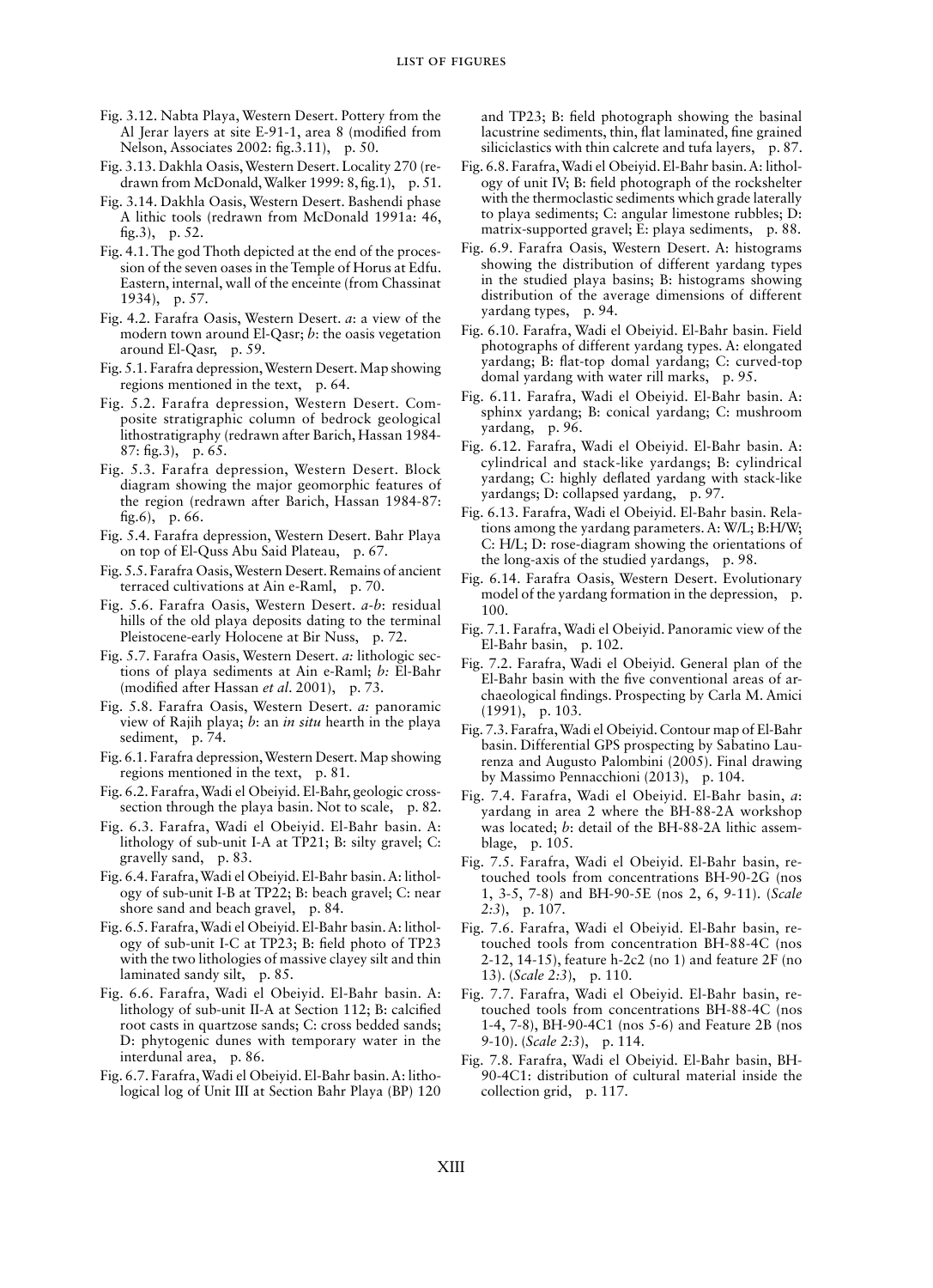- Fig. 3.12. Nabta Playa, Western Desert. Pottery from the Al Jerar layers at site E-91-1, area 8 (modified from Nelson, Associates 2002: fig.3.11), p. 50.
- Fig. 3.13. Dakhla Oasis, Western Desert. Locality 270 (redrawn from McDonald, Walker 1999: 8, fig.1), p. 51.
- Fig. 3.14. Dakhla Oasis, Western Desert. Bashendi phase A lithic tools (redrawn from McDonald 1991a: 46, fig.3), p. 52.
- Fig. 4.1. The god Thoth depicted at the end of the procession of the seven oases in the Temple of Horus at Edfu. Eastern, internal, wall of the enceinte (from Chassinat 1934), p. 57.
- Fig. 4.2. Farafra Oasis, Western Desert. *a*: a view of the modern town around El-Qasr; *b*: the oasis vegetation around El-Qasr, p. 59.
- Fig. 5.1. Farafra depression, Western Desert. Map showing regions mentioned in the text, p. 64.
- Fig. 5.2. Farafra depression, Western Desert. Composite stratigraphic column of bedrock geological lithostratigraphy (redrawn after Barich, Hassan 1984- 87: fig.3), p. 65.
- Fig. 5.3. Farafra depression, Western Desert. Block diagram showing the major geomorphic features of the region (redrawn after Barich, Hassan 1984-87: fig.6), p. 66.
- Fig. 5.4. Farafra depression, Western Desert. Bahr Playa on top of El-Quss Abu Said Plateau, p. 67.
- Fig. 5.5. Farafra Oasis, Western Desert. Remains of ancient terraced cultivations at Ain e-Raml, p. 70.
- Fig. 5.6. Farafra Oasis, Western Desert. *a-b*: residual hills of the old playa deposits dating to the terminal Pleistocene-early Holocene at Bir Nuss, p. 72.
- Fig. 5.7. Farafra Oasis, Western Desert. *a:* lithologic sections of playa sediments at Ain e-Raml; *b:* El-Bahr (modified after Hassan *et al*. 2001), p. 73.
- Fig. 5.8. Farafra Oasis, Western Desert. *a:* panoramic view of Rajih playa; *b*: an *in situ* hearth in the playa sediment, p. 74.
- Fig. 6.1. Farafra depression, Western Desert. Map showing regions mentioned in the text, p. 81.
- Fig. 6.2. Farafra, Wadi el Obeiyid. El-Bahr, geologic crosssection through the playa basin. Not to scale, p. 82.
- Fig. 6.3. Farafra, Wadi el Obeiyid. El-Bahr basin. A: lithology of sub-unit I-A at TP21; B: silty gravel; C: gravelly sand, p. 83.
- Fig. 6.4. Farafra, Wadi el Obeiyid. El-Bahr basin. A: lithology of sub-unit I-B at TP22; B: beach gravel; C: near shore sand and beach gravel, p. 84.
- Fig. 6.5. Farafra, Wadi el Obeiyid. El-Bahr basin. A: lithology of sub-unit I-C at TP23; B: field photo of TP23 with the two lithologies of massive clayey silt and thin laminated sandy silt, p. 85.
- Fig. 6.6. Farafra, Wadi el Obeiyid. El-Bahr basin. A: lithology of sub-unit II-A at Section 112; B: calcified root casts in quartzose sands; C: cross bedded sands; D: phytogenic dunes with temporary water in the interdunal area, p. 86.
- Fig. 6.7. Farafra, Wadi el Obeiyid. El-Bahr basin. A: lithological log of Unit III at Section Bahr Playa (BP) 120

and TP23; B: field photograph showing the basinal lacustrine sediments, thin, flat laminated, fine grained siliciclastics with thin calcrete and tufa layers, p. 87.

- Fig. 6.8. Farafra, Wadi el Obeiyid. El-Bahr basin. A: lithology of unit IV; B: field photograph of the rockshelter with the thermoclastic sediments which grade laterally to playa sediments; C: angular limestone rubbles; D: matrix-supported gravel; E: playa sediments, p. 88.
- Fig. 6.9. Farafra Oasis, Western Desert. A: histograms showing the distribution of different yardang types in the studied playa basins; B: histograms showing distribution of the average dimensions of different yardang types, p. 94.
- Fig. 6.10. Farafra, Wadi el Obeiyid. El-Bahr basin. Field photographs of different yardang types. A: elongated yardang; B: flat-top domal yardang; C: curved-top domal yardang with water rill marks, p. 95.
- Fig. 6.11. Farafra, Wadi el Obeiyid. El-Bahr basin. A: sphinx yardang; B: conical yardang; C: mushroom yardang, p. 96.
- Fig. 6.12. Farafra, Wadi el Obeiyid. El-Bahr basin. A: cylindrical and stack-like yardangs; B: cylindrical yardang; C: highly deflated yardang with stack-like yardangs; D: collapsed yardang, p. 97.
- Fig. 6.13. Farafra, Wadi el Obeiyid. El-Bahr basin. Relations among the yardang parameters. A: W/L; B:H/W; C: H/L; D: rose-diagram showing the orientations of the long-axis of the studied yardangs, p. 98.
- Fig. 6.14. Farafra Oasis, Western Desert. Evolutionary model of the yardang formation in the depression, p. 100.
- Fig. 7.1. Farafra, Wadi el Obeiyid. Panoramic view of the El-Bahr basin, p. 102.
- Fig. 7.2. Farafra, Wadi el Obeiyid. General plan of the El-Bahr basin with the five conventional areas of archaeological findings. Prospecting by Carla M. Amici (1991), p. 103.
- Fig. 7.3. Farafra, Wadi el Obeiyid. Contour map of El-Bahr basin. Differential GPS prospecting by Sabatino Laurenza and Augusto Palombini (2005). Final drawing by Massimo Pennacchioni (2013), p. 104.
- Fig. 7.4. Farafra, Wadi el Obeiyid. El-Bahr basin, *a*: yardang in area 2 where the BH-88-2A workshop was located; *b*: detail of the BH-88-2A lithic assemblage, p. 105.
- Fig. 7.5. Farafra, Wadi el Obeiyid. El-Bahr basin, retouched tools from concentrations BH-90-2G (nos 1, 3-5, 7-8) and BH-90-5E (nos 2, 6, 9-11). (*Scale 2:3*), p. 107.
- Fig. 7.6. Farafra, Wadi el Obeiyid. El-Bahr basin, retouched tools from concentration BH-88-4C (nos 2-12, 14-15), feature h-2c2 (no 1) and feature 2F (no 13). (*Scale 2:3*), p. 110.
- Fig. 7.7. Farafra, Wadi el Obeiyid. El-Bahr basin, retouched tools from concentrations BH-88-4C (nos 1-4, 7-8), BH-90-4C1 (nos 5-6) and Feature 2B (nos 9-10). (*Scale 2:3*), p. 114.
- Fig. 7.8. Farafra, Wadi el Obeiyid. El-Bahr basin, BH-90-4C1: distribution of cultural material inside the collection grid, p. 117.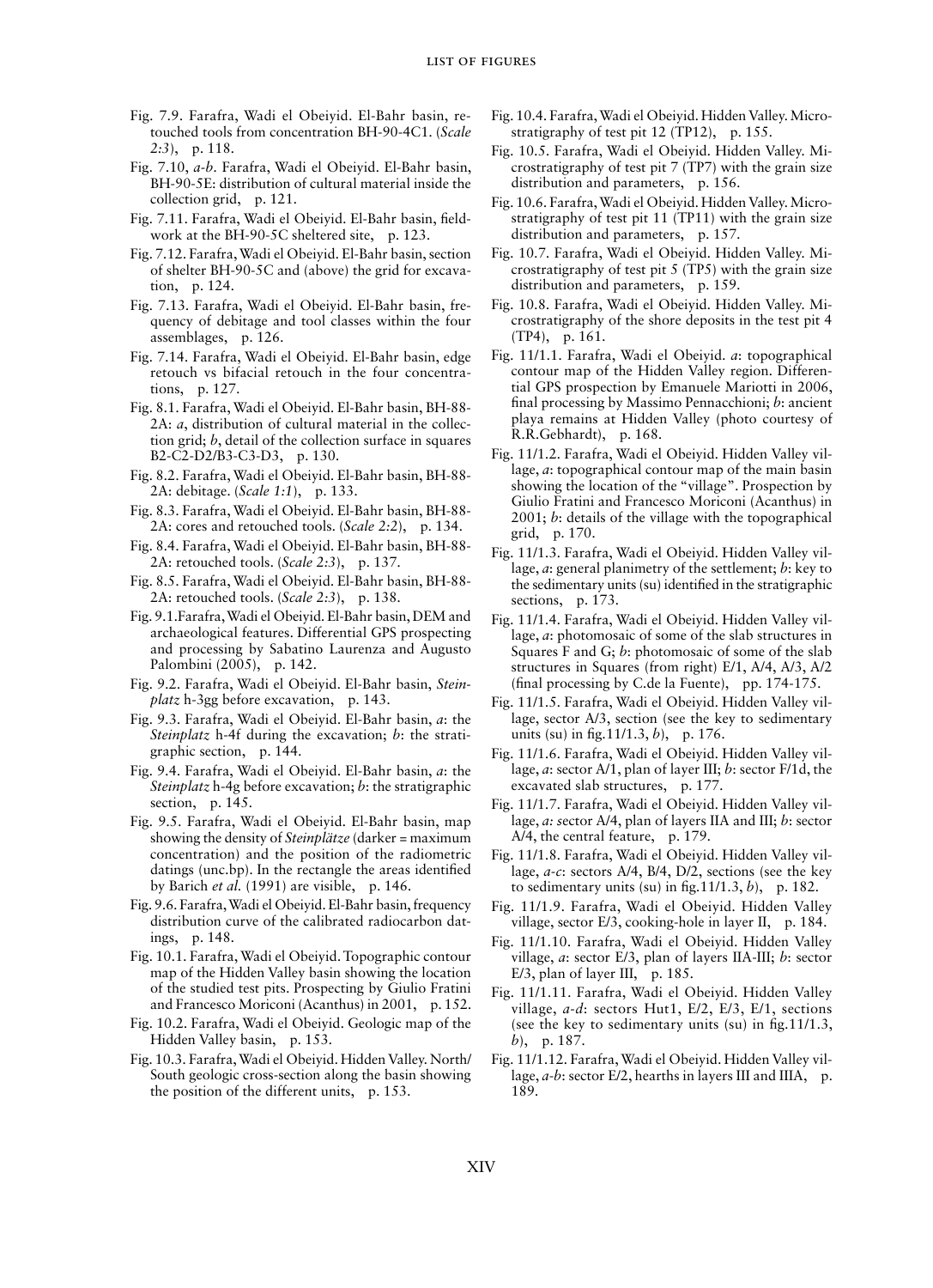- Fig. 7.9. Farafra, Wadi el Obeiyid. El-Bahr basin, retouched tools from concentration BH-90-4C1. (*Scale 2:3*), p. 118.
- Fig. 7.10, *a-b*. Farafra, Wadi el Obeiyid. El-Bahr basin, BH-90-5E: distribution of cultural material inside the collection grid, p. 121.
- Fig. 7.11. Farafra, Wadi el Obeiyid. El-Bahr basin, fieldwork at the BH-90-5C sheltered site, p. 123.
- Fig. 7.12. Farafra, Wadi el Obeiyid. El-Bahr basin, section of shelter BH-90-5C and (above) the grid for excavation, p. 124.
- Fig. 7.13. Farafra, Wadi el Obeiyid. El-Bahr basin, frequency of debitage and tool classes within the four assemblages, p. 126.
- Fig. 7.14. Farafra, Wadi el Obeiyid. El-Bahr basin, edge retouch vs bifacial retouch in the four concentrations, p. 127.
- Fig. 8.1. Farafra, Wadi el Obeiyid. El-Bahr basin, BH-88- 2A: *a*, distribution of cultural material in the collection grid; *b*, detail of the collection surface in squares B2-C2-D2/B3-C3-D3, p. 130.
- Fig. 8.2. Farafra, Wadi el Obeiyid. El-Bahr basin, BH-88- 2A: debitage. (*Scale 1:1*), p. 133.
- Fig. 8.3. Farafra, Wadi el Obeiyid. El-Bahr basin, BH-88- 2A: cores and retouched tools. (*Scale 2:2*), p. 134.
- Fig. 8.4. Farafra, Wadi el Obeiyid. El-Bahr basin, BH-88- 2A: retouched tools. (*Scale 2:3*), p. 137.
- Fig. 8.5. Farafra, Wadi el Obeiyid. El-Bahr basin, BH-88- 2A: retouched tools. (*Scale 2:3*), p. 138.
- Fig. 9.1.Farafra, Wadi el Obeiyid. El-Bahr basin, DEM and archaeological features. Differential GPS prospecting and processing by Sabatino Laurenza and Augusto Palombini (2005), p. 142.
- Fig. 9.2. Farafra, Wadi el Obeiyid. El-Bahr basin, *Steinplatz* h-3gg before excavation, p. 143.
- Fig. 9.3. Farafra, Wadi el Obeiyid. El-Bahr basin, *a*: the *Steinplatz* h-4f during the excavation; *b*: the stratigraphic section, p. 144.
- Fig. 9.4. Farafra, Wadi el Obeiyid. El-Bahr basin, *a*: the *Steinplatz* h-4g before excavation; *b*: the stratigraphic section, p. 145.
- Fig. 9.5. Farafra, Wadi el Obeiyid. El-Bahr basin, map showing the density of *Steinplätze* (darker = maximum concentration) and the position of the radiometric datings (unc.bp). In the rectangle the areas identified by Barich *et al.* (1991) are visible, p. 146.
- Fig. 9.6. Farafra, Wadi el Obeiyid. El-Bahr basin, frequency distribution curve of the calibrated radiocarbon datings, p. 148.
- Fig. 10.1. Farafra, Wadi el Obeiyid. Topographic contour map of the Hidden Valley basin showing the location of the studied test pits. Prospecting by Giulio Fratini and Francesco Moriconi (Acanthus) in 2001, p. 152.
- Fig. 10.2. Farafra, Wadi el Obeiyid. Geologic map of the Hidden Valley basin, p. 153.
- Fig. 10.3. Farafra, Wadi el Obeiyid. Hidden Valley. North/ South geologic cross-section along the basin showing the position of the different units, p. 153.
- Fig. 10.4. Farafra, Wadi el Obeiyid. Hidden Valley. Microstratigraphy of test pit 12 (TP12), p. 155.
- Fig. 10.5. Farafra, Wadi el Obeiyid. Hidden Valley. Microstratigraphy of test pit 7 (TP7) with the grain size distribution and parameters, p. 156.
- Fig. 10.6. Farafra, Wadi el Obeiyid. Hidden Valley. Microstratigraphy of test pit 11 (TP11) with the grain size distribution and parameters, p. 157.
- Fig. 10.7. Farafra, Wadi el Obeiyid. Hidden Valley. Microstratigraphy of test pit 5 (TP5) with the grain size distribution and parameters, p. 159.
- Fig. 10.8. Farafra, Wadi el Obeiyid. Hidden Valley. Microstratigraphy of the shore deposits in the test pit 4 (TP4), p. 161.
- Fig. 11/1.1. Farafra, Wadi el Obeiyid. *a*: topographical contour map of the Hidden Valley region. Differential GPS prospection by Emanuele Mariotti in 2006, final processing by Massimo Pennacchioni; *b*: ancient playa remains at Hidden Valley (photo courtesy of R.R.Gebhardt), p. 168.
- Fig. 11/1.2. Farafra, Wadi el Obeiyid. Hidden Valley village, *a*: topographical contour map of the main basin showing the location of the "village". Prospection by Giulio Fratini and Francesco Moriconi (Acanthus) in 2001; *b*: details of the village with the topographical grid, p. 170.
- Fig. 11/1.3. Farafra, Wadi el Obeiyid. Hidden Valley village, *a*: general planimetry of the settlement; *b*: key to the sedimentary units (su) identified in the stratigraphic sections, p. 173.
- Fig. 11/1.4. Farafra, Wadi el Obeiyid. Hidden Valley village, *a*: photomosaic of some of the slab structures in Squares F and G; *b*: photomosaic of some of the slab structures in Squares (from right) E/1, A/4, A/3, A/2 (final processing by C.de la Fuente), pp. 174-175.
- Fig. 11/1.5. Farafra, Wadi el Obeiyid. Hidden Valley village, sector A/3, section (see the key to sedimentary units (su) in fig.11/1.3, *b*), p. 176.
- Fig. 11/1.6. Farafra, Wadi el Obeiyid. Hidden Valley village, *a*: sector A/1, plan of layer III; *b*: sector F/1d, the excavated slab structures, p. 177.
- Fig. 11/1.7. Farafra, Wadi el Obeiyid. Hidden Valley village, *a: s*ector A/4, plan of layers IIA and III; *b*: sector A/4, the central feature, p. 179.
- Fig. 11/1.8. Farafra, Wadi el Obeiyid. Hidden Valley village, *a-c*: sectors A/4, B/4, D/2, sections (see the key to sedimentary units (su) in fig.  $11/1.3$ , *b*), p. 182.
- Fig. 11/1.9. Farafra, Wadi el Obeiyid. Hidden Valley village, sector E/3, cooking-hole in layer II, p. 184.
- Fig. 11/1.10. Farafra, Wadi el Obeiyid. Hidden Valley village, *a*: sector E/3, plan of layers IIA-III; *b*: sector E/3, plan of layer III, p. 185.
- Fig. 11/1.11. Farafra, Wadi el Obeiyid. Hidden Valley village, *a-d*: sectors Hut1, E/2, E/3, E/1, sections (see the key to sedimentary units (su) in fig.11/1.3, *b*), p. 187.
- Fig. 11/1.12. Farafra, Wadi el Obeiyid. Hidden Valley village, *a*-*b*: sector E/2, hearths in layers III and IIIA, p. 189.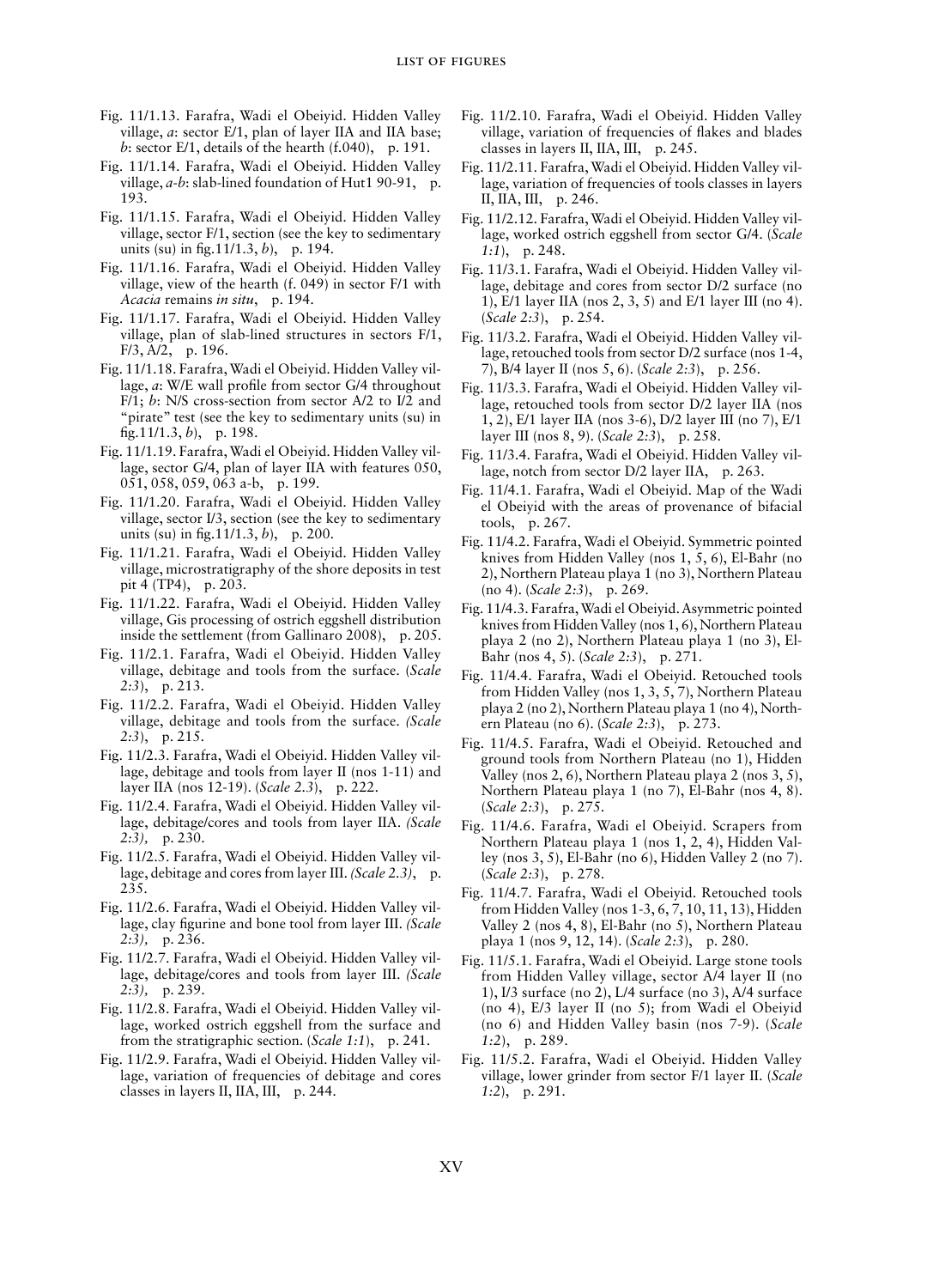- Fig. 11/1.13. Farafra, Wadi el Obeiyid. Hidden Valley village, *a*: sector E/1, plan of layer IIA and IIA base; *b*: sector E/1, details of the hearth  $(f.040)$ , p. 191.
- Fig. 11/1.14. Farafra, Wadi el Obeiyid. Hidden Valley village, *a-b*: slab-lined foundation of Hut1 90-91, p. 193.
- Fig. 11/1.15. Farafra, Wadi el Obeiyid. Hidden Valley village, sector F/1, section (see the key to sedimentary units (su) in fig.11/1.3, *b*), p. 194.
- Fig. 11/1.16. Farafra, Wadi el Obeiyid. Hidden Valley village, view of the hearth (f. 049) in sector F/1 with *Acacia* remains *in situ*, p. 194.
- Fig. 11/1.17. Farafra, Wadi el Obeiyid. Hidden Valley village, plan of slab-lined structures in sectors  $F/1$ , F/3, A/2, p. 196.
- Fig. 11/1.18. Farafra, Wadi el Obeiyid. Hidden Valley village, *a*: W/E wall profile from sector G/4 throughout F/1; *b*: N/S cross-section from sector A/2 to I/2 and "pirate" test (see the key to sedimentary units (su) in fig.11/1.3, *b*), p. 198.
- Fig. 11/1.19. Farafra, Wadi el Obeiyid. Hidden Valley village, sector G/4, plan of layer IIA with features 050, 051, 058, 059, 063 a-b, p. 199.
- Fig. 11/1.20. Farafra, Wadi el Obeiyid. Hidden Valley village, sector I/3, section (see the key to sedimentary units (su) in fig.11/1.3, *b*), p. 200.
- Fig. 11/1.21. Farafra, Wadi el Obeiyid. Hidden Valley village, microstratigraphy of the shore deposits in test pit 4 (TP4), p. 203.
- Fig. 11/1.22. Farafra, Wadi el Obeiyid. Hidden Valley village, Gis processing of ostrich eggshell distribution inside the settlement (from Gallinaro 2008), p. 205.
- Fig. 11/2.1. Farafra, Wadi el Obeiyid. Hidden Valley village, debitage and tools from the surface. (*Scale 2:3*), p. 213.
- Fig. 11/2.2. Farafra, Wadi el Obeiyid. Hidden Valley village, debitage and tools from the surface. *(Scale 2:3*), p. 215.
- Fig. 11/2.3. Farafra, Wadi el Obeiyid. Hidden Valley village, debitage and tools from layer II (nos 1-11) and layer IIA (nos 12-19). (*Scale 2.3*), p. 222.
- Fig. 11/2.4. Farafra, Wadi el Obeiyid. Hidden Valley village, debitage/cores and tools from layer IIA. *(Scale 2:3),* p. 230.
- Fig. 11/2.5. Farafra, Wadi el Obeiyid. Hidden Valley village, debitage and cores from layer III. *(Scale 2.3)*, p. 235.
- Fig. 11/2.6. Farafra, Wadi el Obeiyid. Hidden Valley village, clay figurine and bone tool from layer III. *(Scale 2:3),* p. 236.
- Fig. 11/2.7. Farafra, Wadi el Obeiyid. Hidden Valley village, debitage/cores and tools from layer III. *(Scale 2:3),* p. 239.
- Fig. 11/2.8. Farafra, Wadi el Obeiyid. Hidden Valley village, worked ostrich eggshell from the surface and from the stratigraphic section. (*Scale 1:1*), p. 241.
- Fig. 11/2.9. Farafra, Wadi el Obeiyid. Hidden Valley village, variation of frequencies of debitage and cores classes in layers II, IIA, III, p. 244.
- Fig. 11/2.10. Farafra, Wadi el Obeiyid. Hidden Valley village, variation of frequencies of flakes and blades classes in layers II, IIA, III, p. 245.
- Fig. 11/2.11. Farafra, Wadi el Obeiyid. Hidden Valley village, variation of frequencies of tools classes in layers II, IIA, III, p. 246.
- Fig. 11/2.12. Farafra, Wadi el Obeiyid. Hidden Valley village, worked ostrich eggshell from sector G/4. (*Scale 1:1*), p. 248.
- Fig. 11/3.1. Farafra, Wadi el Obeiyid. Hidden Valley village, debitage and cores from sector D/2 surface (no 1), E/1 layer IIA (nos 2, 3, 5) and E/1 layer III (no 4). (*Scale 2:3*), p. 254.
- Fig. 11/3.2. Farafra, Wadi el Obeiyid. Hidden Valley village, retouched tools from sector D/2 surface (nos 1-4, 7), B/4 layer II (nos 5, 6). (*Scale 2:3*), p. 256.
- Fig. 11/3.3. Farafra, Wadi el Obeiyid. Hidden Valley village, retouched tools from sector D/2 layer IIA (nos 1, 2), E/1 layer IIA (nos 3-6), D/2 layer III (no 7), E/1 layer III (nos 8, 9). (*Scale 2:3*), p. 258.
- Fig. 11/3.4. Farafra, Wadi el Obeiyid. Hidden Valley village, notch from sector D/2 layer IIA, p. 263.
- Fig. 11/4.1. Farafra, Wadi el Obeiyid. Map of the Wadi el Obeiyid with the areas of provenance of bifacial tools, p. 267.
- Fig. 11/4.2. Farafra, Wadi el Obeiyid. Symmetric pointed knives from Hidden Valley (nos 1, 5, 6), El-Bahr (no 2), Northern Plateau playa 1 (no 3), Northern Plateau (no 4). (*Scale 2:3*), p. 269.
- Fig. 11/4.3. Farafra, Wadi el Obeiyid. Asymmetric pointed knives from Hidden Valley (nos 1, 6), Northern Plateau playa 2 (no 2), Northern Plateau playa 1 (no 3), El-Bahr (nos 4, 5). (*Scale 2:3*), p. 271.
- Fig. 11/4.4. Farafra, Wadi el Obeiyid. Retouched tools from Hidden Valley (nos 1, 3, 5, 7), Northern Plateau playa 2 (no 2), Northern Plateau playa 1 (no 4), Northern Plateau (no 6). (*Scale 2:3*), p. 273.
- Fig. 11/4.5. Farafra, Wadi el Obeiyid. Retouched and ground tools from Northern Plateau (no 1), Hidden Valley (nos 2, 6), Northern Plateau playa 2 (nos 3, 5), Northern Plateau playa 1 (no 7), El-Bahr (nos 4, 8). (*Scale 2:3*), p. 275.
- Fig. 11/4.6. Farafra, Wadi el Obeiyid. Scrapers from Northern Plateau playa 1 (nos 1, 2, 4), Hidden Valley (nos 3, 5), El-Bahr (no 6), Hidden Valley 2 (no 7). (*Scale 2:3*), p. 278.
- Fig. 11/4.7. Farafra, Wadi el Obeiyid. Retouched tools from Hidden Valley (nos 1-3, 6, 7, 10, 11, 13), Hidden Valley 2 (nos 4, 8), El-Bahr (no 5), Northern Plateau playa 1 (nos 9, 12, 14). (*Scale 2:3*), p. 280.
- Fig. 11/5.1. Farafra, Wadi el Obeiyid. Large stone tools from Hidden Valley village, sector A/4 layer II (no 1), I/3 surface (no 2), L/4 surface (no 3), A/4 surface (no 4), E/3 layer II (no 5); from Wadi el Obeiyid (no 6) and Hidden Valley basin (nos 7-9). (*Scale 1:2*), p. 289.
- Fig. 11/5.2. Farafra, Wadi el Obeiyid. Hidden Valley village, lower grinder from sector F/1 layer II. (*Scale 1:2*), p. 291.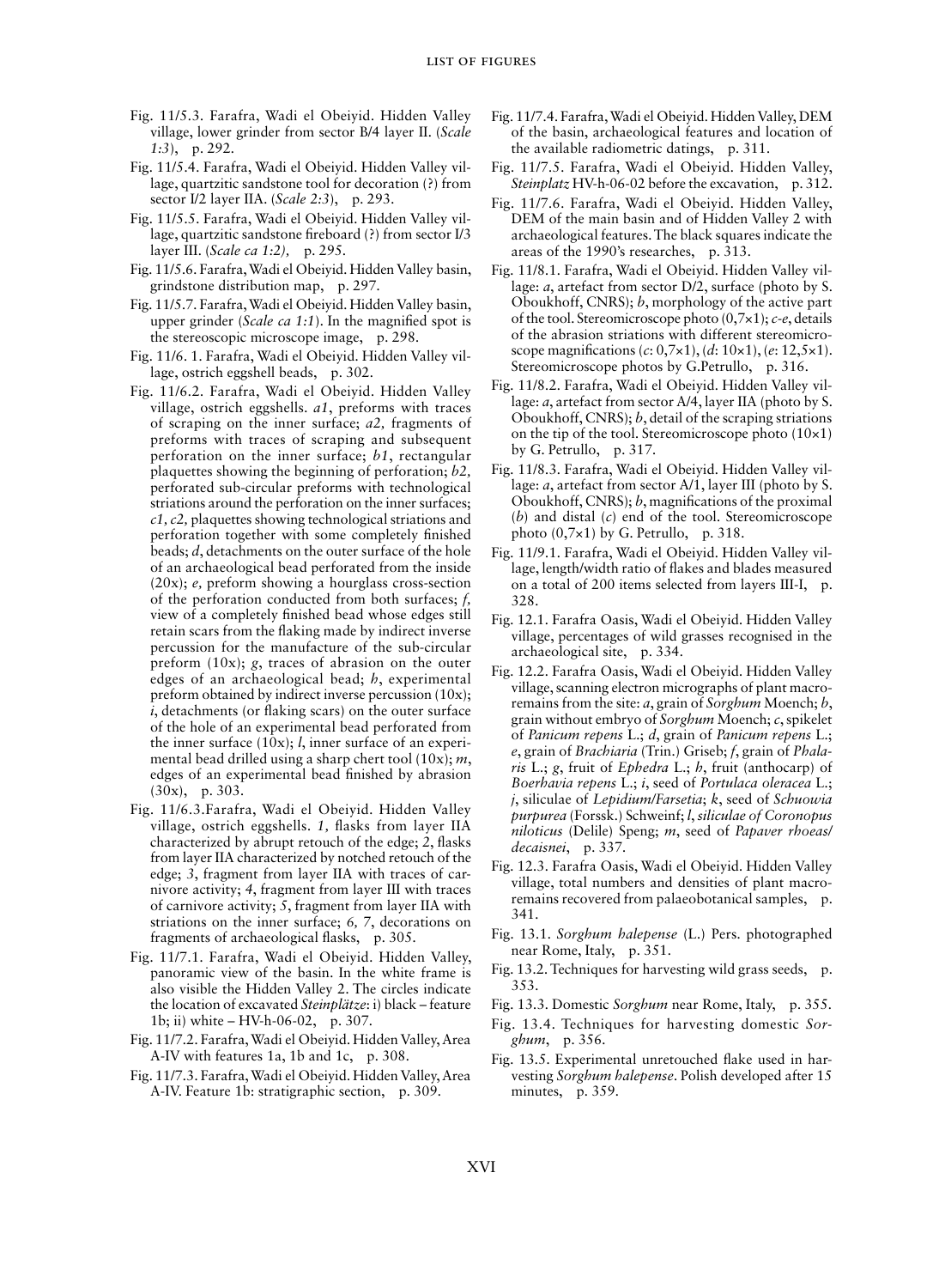- Fig. 11/5.3. Farafra, Wadi el Obeiyid. Hidden Valley village, lower grinder from sector B/4 layer II. (*Scale 1:3*), p. 292.
- Fig. 11/5.4. Farafra, Wadi el Obeiyid. Hidden Valley village, quartzitic sandstone tool for decoration (?) from sector I/2 layer IIA. (*Scale 2:3*), p. 293.
- Fig. 11/5.5. Farafra, Wadi el Obeiyid. Hidden Valley village, quartzitic sandstone fireboard (?) from sector I/3 layer III. (*Scale ca 1:2),* p. 295*.*
- Fig. 11/5.6. Farafra, Wadi el Obeiyid. Hidden Valley basin, grindstone distribution map, p. 297.
- Fig. 11/5.7. Farafra, Wadi el Obeiyid. Hidden Valley basin, upper grinder (*Scale ca 1:1*). In the magnified spot is the stereoscopic microscope image, p. 298.
- Fig. 11/6. 1. Farafra, Wadi el Obeiyid. Hidden Valley village, ostrich eggshell beads, p. 302.
- Fig. 11/6.2. Farafra, Wadi el Obeiyid. Hidden Valley village, ostrich eggshells. *a1*, preforms with traces of scraping on the inner surface; *a2,* fragments of preforms with traces of scraping and subsequent perforation on the inner surface; *b1*, rectangular plaquettes showing the beginning of perforation; *b2,* perforated sub-circular preforms with technological striations around the perforation on the inner surfaces; *c1, c2,* plaquettes showing technological striations and perforation together with some completely finished beads; *d*, detachments on the outer surface of the hole of an archaeological bead perforated from the inside (20x); *e,* preform showing a hourglass cross-section of the perforation conducted from both surfaces; *f,* view of a completely finished bead whose edges still retain scars from the flaking made by indirect inverse percussion for the manufacture of the sub-circular preform (10x); *g*, traces of abrasion on the outer edges of an archaeological bead; *h*, experimental preform obtained by indirect inverse percussion (10x); *i*, detachments (or flaking scars) on the outer surface of the hole of an experimental bead perforated from the inner surface (10x); *l*, inner surface of an experimental bead drilled using a sharp chert tool (10x); *m*, edges of an experimental bead finished by abrasion (30x), p. 303.
- Fig. 11/6.3.Farafra, Wadi el Obeiyid. Hidden Valley village, ostrich eggshells. *1,* flasks from layer IIA characterized by abrupt retouch of the edge; *2*, flasks from layer IIA characterized by notched retouch of the edge; *3*, fragment from layer IIA with traces of carnivore activity; *4*, fragment from layer III with traces of carnivore activity; *5*, fragment from layer IIA with striations on the inner surface; *6, 7*, decorations on fragments of archaeological flasks, p. 305.
- Fig. 11/7.1. Farafra, Wadi el Obeiyid. Hidden Valley, panoramic view of the basin. In the white frame is also visible the Hidden Valley 2. The circles indicate the location of excavated *Steinplätze*: i) black – feature 1b; ii) white – HV-h-06-02, p. 307.
- Fig. 11/7.2. Farafra, Wadi el Obeiyid. Hidden Valley, Area A-IV with features 1a, 1b and 1c, p. 308.
- Fig. 11/7.3. Farafra, Wadi el Obeiyid. Hidden Valley, Area A-IV. Feature 1b: stratigraphic section, p. 309.
- Fig. 11/7.4. Farafra, Wadi el Obeiyid. Hidden Valley, DEM of the basin, archaeological features and location of the available radiometric datings, p. 311.
- Fig. 11/7.5. Farafra, Wadi el Obeiyid. Hidden Valley, *Steinplatz* HV-h-06-02 before the excavation, p. 312.
- Fig. 11/7.6. Farafra, Wadi el Obeiyid. Hidden Valley, DEM of the main basin and of Hidden Valley 2 with archaeological features. The black squares indicate the areas of the 1990's researches, p. 313.
- Fig. 11/8.1. Farafra, Wadi el Obeiyid. Hidden Valley village: *a*, artefact from sector D/2, surface (photo by S. Oboukhoff, CNRS); *b*, morphology of the active part of the tool. Stereomicroscope photo (0,7×1); *c-e*, details of the abrasion striations with different stereomicroscope magnifications (*c*: 0,7×1), (*d*: 10×1), (*e*: 12,5×1). Stereomicroscope photos by G.Petrullo, p. 316.
- Fig. 11/8.2. Farafra, Wadi el Obeiyid. Hidden Valley village: *a*, artefact from sector A/4, layer IIA (photo by S. Oboukhoff, CNRS); *b*, detail of the scraping striations on the tip of the tool. Stereomicroscope photo  $(10\times1)$ by G. Petrullo, p. 317.
- Fig. 11/8.3. Farafra, Wadi el Obeiyid. Hidden Valley village: *a*, artefact from sector A/1, layer III (photo by S. Oboukhoff, CNRS); *b*, magnifications of the proximal (*b*) and distal (*c*) end of the tool. Stereomicroscope photo (0,7×1) by G. Petrullo, p. 318.
- Fig. 11/9.1. Farafra, Wadi el Obeiyid. Hidden Valley village, length/width ratio of flakes and blades measured on a total of 200 items selected from layers III-I, p. 328.
- Fig. 12.1. Farafra Oasis, Wadi el Obeiyid. Hidden Valley village, percentages of wild grasses recognised in the archaeological site, p. 334.
- Fig. 12.2. Farafra Oasis, Wadi el Obeiyid. Hidden Valley village, scanning electron micrographs of plant macroremains from the site: *a*, grain of *Sorghum* Moench; *b*, grain without embryo of *Sorghum* Moench; *c*, spikelet of *Panicum repens* L.; *d*, grain of *Panicum repens* L.; *e*, grain of *Brachiaria* (Trin.) Griseb; *f*, grain of *Phalaris* L.; *g*, fruit of *Ephedra* L.; *h*, fruit (anthocarp) of *Boerhavia repens* L.; *i*, seed of *Portulaca oleracea* L.; *j*, siliculae of *Lepidium/Farsetia*; *k*, seed of *Schuowia purpurea* (Forssk.) Schweinf; *l*, *siliculae of Coronopus niloticus* (Delile) Speng; *m*, seed of *Papaver rhoeas/ decaisnei*, p. 337.
- Fig. 12.3. Farafra Oasis, Wadi el Obeiyid. Hidden Valley village, total numbers and densities of plant macroremains recovered from palaeobotanical samples, p. 341.
- Fig. 13.1. *Sorghum halepense* (L.) Pers. photographed near Rome, Italy, p. 351.
- Fig. 13.2. Techniques for harvesting wild grass seeds, p. 353.
- Fig. 13.3. Domestic *Sorghum* near Rome, Italy, p. 355.
- Fig. 13.4. Techniques for harvesting domestic *Sorghum*, p. 356.
- Fig. 13.5. Experimental unretouched flake used in harvesting *Sorghum halepense*. Polish developed after 15 minutes, p. 359.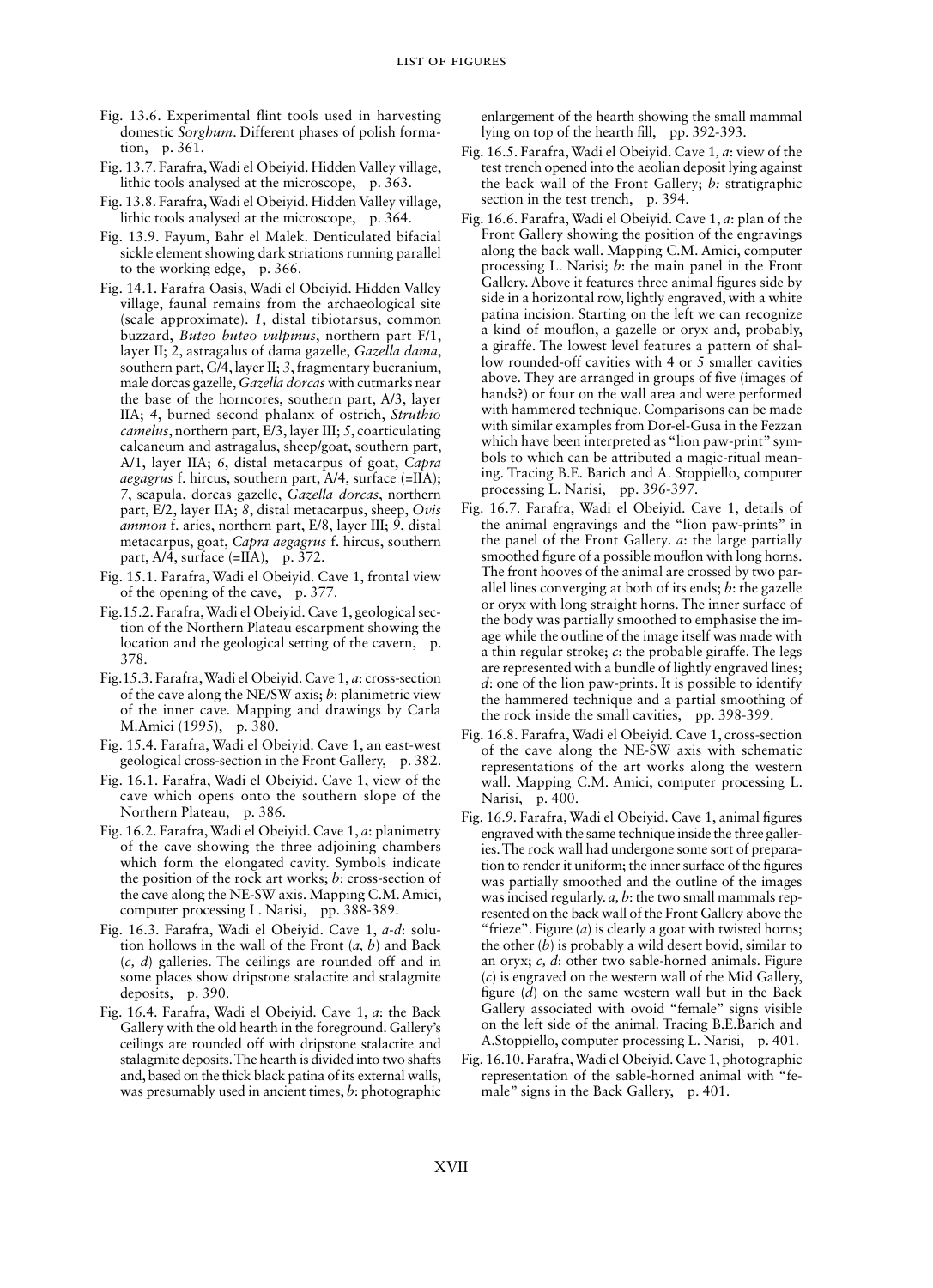- Fig. 13.6. Experimental flint tools used in harvesting domestic *Sorghum*. Different phases of polish formation, p. 361.
- Fig. 13.7. Farafra, Wadi el Obeiyid. Hidden Valley village, lithic tools analysed at the microscope, p. 363.
- Fig. 13.8. Farafra, Wadi el Obeiyid. Hidden Valley village, lithic tools analysed at the microscope, p. 364.
- Fig. 13.9. Fayum, Bahr el Malek. Denticulated bifacial sickle element showing dark striations running parallel to the working edge, p. 366.
- Fig. 14.1. Farafra Oasis, Wadi el Obeiyid. Hidden Valley village, faunal remains from the archaeological site (scale approximate). *1*, distal tibiotarsus, common buzzard, *Buteo buteo vulpinus*, northern part F/1, layer II; *2*, astragalus of dama gazelle, *Gazella dama*, southern part, G/4, layer II; *3*, fragmentary bucranium, male dorcas gazelle, *Gazella dorcas* with cutmarks near the base of the horncores, southern part, A/3, layer IIA; *4*, burned second phalanx of ostrich, *Struthio camelus*, northern part, E/3, layer III; *5*, coarticulating calcaneum and astragalus, sheep/goat, southern part, A/1, layer IIA; *6*, distal metacarpus of goat, *Capra aegagrus* f. hircus, southern part, A/4, surface (=IIA); *7*, scapula, dorcas gazelle, *Gazella dorcas*, northern part, E/2, layer IIA; *8*, distal metacarpus, sheep, *Ovis ammon* f. aries, northern part, E/8, layer III; *9*, distal metacarpus, goat, *Capra aegagrus* f. hircus, southern part,  $A/\overline{4}$ , surface (=IIA), p. 372.
- Fig. 15.1. Farafra, Wadi el Obeiyid. Cave 1, frontal view of the opening of the cave, p. 377.
- Fig.15.2. Farafra, Wadi el Obeiyid. Cave 1, geological section of the Northern Plateau escarpment showing the location and the geological setting of the cavern, p. 378.
- Fig.15.3. Farafra, Wadi el Obeiyid. Cave 1, *a*: cross-section of the cave along the NE/SW axis; *b*: planimetric view of the inner cave*.* Mapping and drawings by Carla M.Amici (1995), p. 380.
- Fig. 15.4. Farafra, Wadi el Obeiyid. Cave 1, an east-west geological cross-section in the Front Gallery, p. 382.
- Fig. 16.1. Farafra, Wadi el Obeiyid. Cave 1, view of the cave which opens onto the southern slope of the Northern Plateau, p. 386.
- Fig. 16.2. Farafra, Wadi el Obeiyid. Cave 1, *a*: planimetry of the cave showing the three adjoining chambers which form the elongated cavity. Symbols indicate the position of the rock art works; *b*: cross-section of the cave along the NE-SW axis. Mapping C.M. Amici, computer processing L. Narisi, pp. 388-389.
- Fig. 16.3. Farafra, Wadi el Obeiyid. Cave 1, *a-d*: solution hollows in the wall of the Front (*a, b*) and Back (*c, d*) galleries. The ceilings are rounded off and in some places show dripstone stalactite and stalagmite deposits, p. 390.
- Fig. 16.4. Farafra, Wadi el Obeiyid. Cave 1, *a*: the Back Gallery with the old hearth in the foreground. Gallery's ceilings are rounded off with dripstone stalactite and stalagmite deposits. The hearth is divided into two shafts and, based on the thick black patina of its external walls, was presumably used in ancient times, *b*: photographic

enlargement of the hearth showing the small mammal lying on top of the hearth fill, pp. 392-393.

- Fig. 16.5. Farafra, Wadi el Obeiyid. Cave 1*, a*: view of the test trench opened into the aeolian deposit lying against the back wall of the Front Gallery; *b:* stratigraphic section in the test trench, p. 394.
- Fig. 16.6. Farafra, Wadi el Obeiyid. Cave 1, *a*: plan of the Front Gallery showing the position of the engravings along the back wall. Mapping C.M. Amici, computer processing L. Narisi; *b*: the main panel in the Front Gallery. Above it features three animal figures side by side in a horizontal row, lightly engraved, with a white patina incision. Starting on the left we can recognize a kind of mouflon, a gazelle or oryx and, probably, a giraffe. The lowest level features a pattern of shallow rounded-off cavities with 4 or 5 smaller cavities above. They are arranged in groups of five (images of hands?) or four on the wall area and were performed with hammered technique. Comparisons can be made with similar examples from Dor-el-Gusa in the Fezzan which have been interpreted as "lion paw-print" symbols to which can be attributed a magic-ritual meaning. Tracing B.E. Barich and A. Stoppiello, computer processing L. Narisi, pp. 396-397.
- Fig. 16.7. Farafra, Wadi el Obeiyid. Cave 1, details of the animal engravings and the "lion paw-prints" in the panel of the Front Gallery*. a*: the large partially smoothed figure of a possible mouflon with long horns. The front hooves of the animal are crossed by two parallel lines converging at both of its ends; *b*: the gazelle or oryx with long straight horns. The inner surface of the body was partially smoothed to emphasise the image while the outline of the image itself was made with a thin regular stroke; *c*: the probable giraffe. The legs are represented with a bundle of lightly engraved lines; *d*: one of the lion paw-prints. It is possible to identify the hammered technique and a partial smoothing of the rock inside the small cavities, pp. 398-399.
- Fig. 16.8. Farafra, Wadi el Obeiyid. Cave 1, cross-section of the cave along the NE-SW axis with schematic representations of the art works along the western wall. Mapping C.M. Amici, computer processing L. Narisi, p. 400.
- Fig. 16.9. Farafra, Wadi el Obeiyid. Cave 1, animal figures engraved with the same technique inside the three galleries. The rock wall had undergone some sort of preparation to render it uniform; the inner surface of the figures was partially smoothed and the outline of the images was incised regularly. *a, b*: the two small mammals represented on the back wall of the Front Gallery above the "frieze". Figure (*a*) is clearly a goat with twisted horns; the other  $(b)$  is probably a wild desert bovid, similar to an oryx; *c, d*: other two sable-horned animals. Figure (*c*) is engraved on the western wall of the Mid Gallery, figure (*d*) on the same western wall but in the Back Gallery associated with ovoid "female" signs visible on the left side of the animal. Tracing B.E.Barich and A.Stoppiello, computer processing L. Narisi, p. 401.
- Fig. 16.10. Farafra, Wadi el Obeiyid. Cave 1, photographic representation of the sable-horned animal with "female" signs in the Back Gallery, p. 401.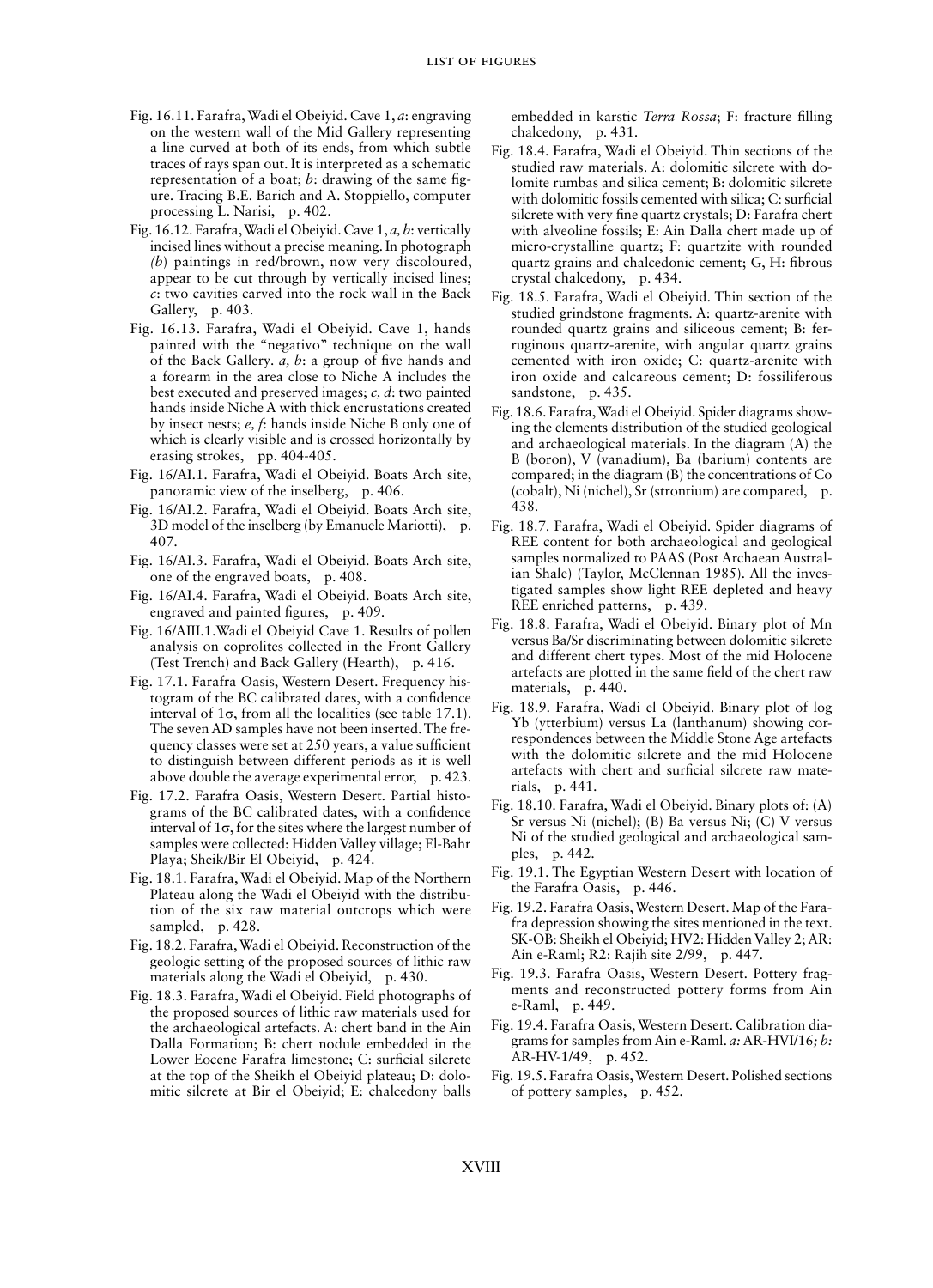- Fig. 16.11. Farafra, Wadi el Obeiyid. Cave 1, *a*: engraving on the western wall of the Mid Gallery representing a line curved at both of its ends, from which subtle traces of rays span out. It is interpreted as a schematic representation of a boat; *b*: drawing of the same figure. Tracing B.E. Barich and A. Stoppiello, computer processing L. Narisi, p. 402.
- Fig. 16.12. Farafra, Wadi el Obeiyid. Cave 1, *a, b*: vertically incised lines without a precise meaning. In photograph *(b*) paintings in red/brown, now very discoloured, appear to be cut through by vertically incised lines; *c*: two cavities carved into the rock wall in the Back Gallery, p. 403.
- Fig. 16.13. Farafra, Wadi el Obeiyid. Cave 1, hands painted with the "negativo" technique on the wall of the Back Gallery*. a, b*: a group of five hands and a forearm in the area close to Niche A includes the best executed and preserved images; *c, d*: two painted hands inside Niche A with thick encrustations created by insect nests; *e, f*: hands inside Niche B only one of which is clearly visible and is crossed horizontally by erasing strokes, pp. 404-405.
- Fig. 16/AI.1. Farafra, Wadi el Obeiyid. Boats Arch site, panoramic view of the inselberg, p. 406.
- Fig. 16/AI.2. Farafra, Wadi el Obeiyid. Boats Arch site, 3D model of the inselberg (by Emanuele Mariotti), p. 407.
- Fig. 16/AI.3. Farafra, Wadi el Obeiyid. Boats Arch site, one of the engraved boats, p. 408.
- Fig. 16/AI.4. Farafra, Wadi el Obeiyid. Boats Arch site, engraved and painted figures, p. 409.
- Fig. 16/AIII.1.Wadi el Obeiyid Cave 1. Results of pollen analysis on coprolites collected in the Front Gallery (Test Trench) and Back Gallery (Hearth), p. 416.
- Fig. 17.1. Farafra Oasis, Western Desert. Frequency histogram of the BC calibrated dates, with a confidence interval of  $1\sigma$ , from all the localities (see table 17.1). The seven AD samples have not been inserted. The frequency classes were set at 250 years, a value sufficient to distinguish between different periods as it is well above double the average experimental error, p. 423.
- Fig. 17.2. Farafra Oasis, Western Desert. Partial histograms of the BC calibrated dates, with a confidence interval of  $1\sigma$ , for the sites where the largest number of samples were collected: Hidden Valley village; El-Bahr Playa; Sheik/Bir El Obeiyid, p. 424.
- Fig. 18.1. Farafra, Wadi el Obeiyid. Map of the Northern Plateau along the Wadi el Obeiyid with the distribution of the six raw material outcrops which were sampled, p. 428.
- Fig. 18.2. Farafra, Wadi el Obeiyid. Reconstruction of the geologic setting of the proposed sources of lithic raw materials along the Wadi el Obeiyid, p. 430.
- Fig. 18.3. Farafra, Wadi el Obeiyid. Field photographs of the proposed sources of lithic raw materials used for the archaeological artefacts. A: chert band in the Ain Dalla Formation; B: chert nodule embedded in the Lower Eocene Farafra limestone; C: surficial silcrete at the top of the Sheikh el Obeiyid plateau; D: dolomitic silcrete at Bir el Obeiyid; E: chalcedony balls

embedded in karstic *Terra Rossa*; F: fracture filling chalcedony, p. 431.

- Fig. 18.4. Farafra, Wadi el Obeiyid. Thin sections of the studied raw materials. A: dolomitic silcrete with dolomite rumbas and silica cement; B: dolomitic silcrete with dolomitic fossils cemented with silica; C: surficial silcrete with very fine quartz crystals; D: Farafra chert with alveoline fossils; E: Ain Dalla chert made up of micro-crystalline quartz; F: quartzite with rounded quartz grains and chalcedonic cement; G, H: fibrous crystal chalcedony, p. 434.
- Fig. 18.5. Farafra, Wadi el Obeiyid. Thin section of the studied grindstone fragments. A: quartz-arenite with rounded quartz grains and siliceous cement; B: ferruginous quartz-arenite, with angular quartz grains cemented with iron oxide; C: quartz-arenite with iron oxide and calcareous cement; D: fossiliferous sandstone, p. 435.
- Fig. 18.6. Farafra, Wadi el Obeiyid. Spider diagrams showing the elements distribution of the studied geological and archaeological materials. In the diagram (A) the B (boron), V (vanadium), Ba (barium) contents are compared; in the diagram (B) the concentrations of Co (cobalt), Ni (nichel), Sr (strontium) are compared, p. 438.
- Fig. 18.7. Farafra, Wadi el Obeiyid. Spider diagrams of REE content for both archaeological and geological samples normalized to PAAS (Post Archaean Australian Shale) (Taylor, McClennan 1985). All the investigated samples show light REE depleted and heavy REE enriched patterns, p. 439.
- Fig. 18.8. Farafra, Wadi el Obeiyid. Binary plot of Mn versus Ba/Sr discriminating between dolomitic silcrete and different chert types. Most of the mid Holocene artefacts are plotted in the same field of the chert raw materials, p. 440.
- Fig. 18.9. Farafra, Wadi el Obeiyid. Binary plot of log Yb (ytterbium) versus La (lanthanum) showing correspondences between the Middle Stone Age artefacts with the dolomitic silcrete and the mid Holocene artefacts with chert and surficial silcrete raw materials, p. 441.
- Fig. 18.10. Farafra, Wadi el Obeiyid. Binary plots of: (A) Sr versus Ni (nichel); (B) Ba versus Ni; (C) V versus Ni of the studied geological and archaeological samples, p. 442.
- Fig. 19.1. The Egyptian Western Desert with location of the Farafra Oasis, p. 446.
- Fig. 19.2. Farafra Oasis, Western Desert. Map of the Farafra depression showing the sites mentioned in the text. SK-OB: Sheikh el Obeiyid; HV2: Hidden Valley 2; AR: Ain e-Raml; R2: Rajih site 2/99, p. 447.
- Fig. 19.3. Farafra Oasis, Western Desert. Pottery fragments and reconstructed pottery forms from Ain e-Raml, p. 449.
- Fig. 19.4. Farafra Oasis, Western Desert. Calibration diagrams for samples from Ain e-Raml. *a:* AR-HVI/16*; b:* AR-HV-1/49, p. 452.
- Fig. 19.5. Farafra Oasis, Western Desert. Polished sections of pottery samples, p. 452.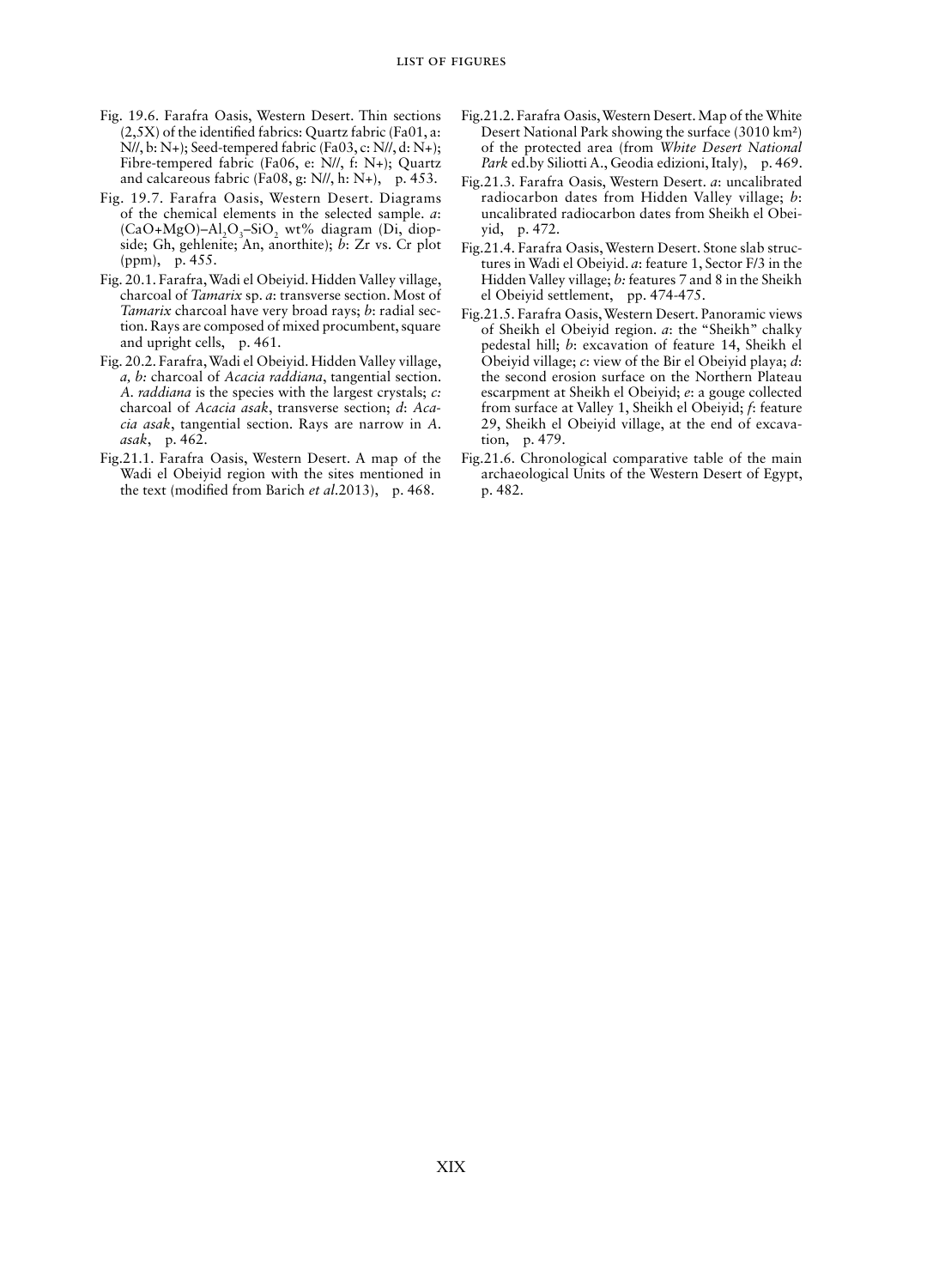- Fig. 19.6. Farafra Oasis, Western Desert. Thin sections (2,5X) of the identified fabrics: Quartz fabric (Fa01, a: N//, b: N+); Seed-tempered fabric (Fa03, c: N//, d: N+); Fibre-tempered fabric (Fa06, e: N//, f: N+); Quartz and calcareous fabric (Fa08, g: N//, h: N+), p. 453.
- Fig. 19.7. Farafra Oasis, Western Desert. Diagrams of the chemical elements in the selected sample. *a*:  $(CaO+MgO)$ –Al<sub>2</sub>O<sub>3</sub>–SiO<sub>2</sub> wt% diagram (Di, diopside; Gh, gehlenite; An, anorthite); *b*: Zr vs. Cr plot (ppm), p. 455.
- Fig. 20.1. Farafra, Wadi el Obeiyid. Hidden Valley village, charcoal of *Tamarix* sp. *a*: transverse section. Most of *Tamarix* charcoal have very broad rays; *b*: radial section. Rays are composed of mixed procumbent, square and upright cells, p. 461.
- Fig. 20.2. Farafra, Wadi el Obeiyid. Hidden Valley village, *a, b:* charcoal of *Acacia raddiana*, tangential section. *A. raddiana* is the species with the largest crystals; *c:* charcoal of *Acacia asak*, transverse section; *d*: *Acacia asak*, tangential section. Rays are narrow in *A. asak*, p. 462.
- Fig.21.1. Farafra Oasis, Western Desert. A map of the Wadi el Obeiyid region with the sites mentioned in the text (modified from Barich *et al*.2013), p. 468.
- Fig.21.2. Farafra Oasis, Western Desert. Map of the White Desert National Park showing the surface (3010 km²) of the protected area (from *White Desert National Park* ed.by Siliotti A., Geodia edizioni, Italy), p. 469.
- Fig.21.3. Farafra Oasis, Western Desert. *a*: uncalibrated radiocarbon dates from Hidden Valley village; *b*: uncalibrated radiocarbon dates from Sheikh el Obeiyid, p. 472.
- Fig.21.4. Farafra Oasis, Western Desert. Stone slab structures in Wadi el Obeiyid. *a*: feature 1, Sector F/3 in the Hidden Valley village; *b:* features 7 and 8 in the Sheikh el Obeiyid settlement, pp. 474-475.
- Fig.21.5. Farafra Oasis, Western Desert. Panoramic views of Sheikh el Obeiyid region. *a*: the "Sheikh" chalky pedestal hill; *b*: excavation of feature 14, Sheikh el Obeiyid village; *c*: view of the Bir el Obeiyid playa; *d*: the second erosion surface on the Northern Plateau escarpment at Sheikh el Obeiyid; *e*: a gouge collected from surface at Valley 1, Sheikh el Obeiyid; *f*: feature 29, Sheikh el Obeiyid village, at the end of excavation, p. 479.
- Fig.21.6. Chronological comparative table of the main archaeological Units of the Western Desert of Egypt, p. 482.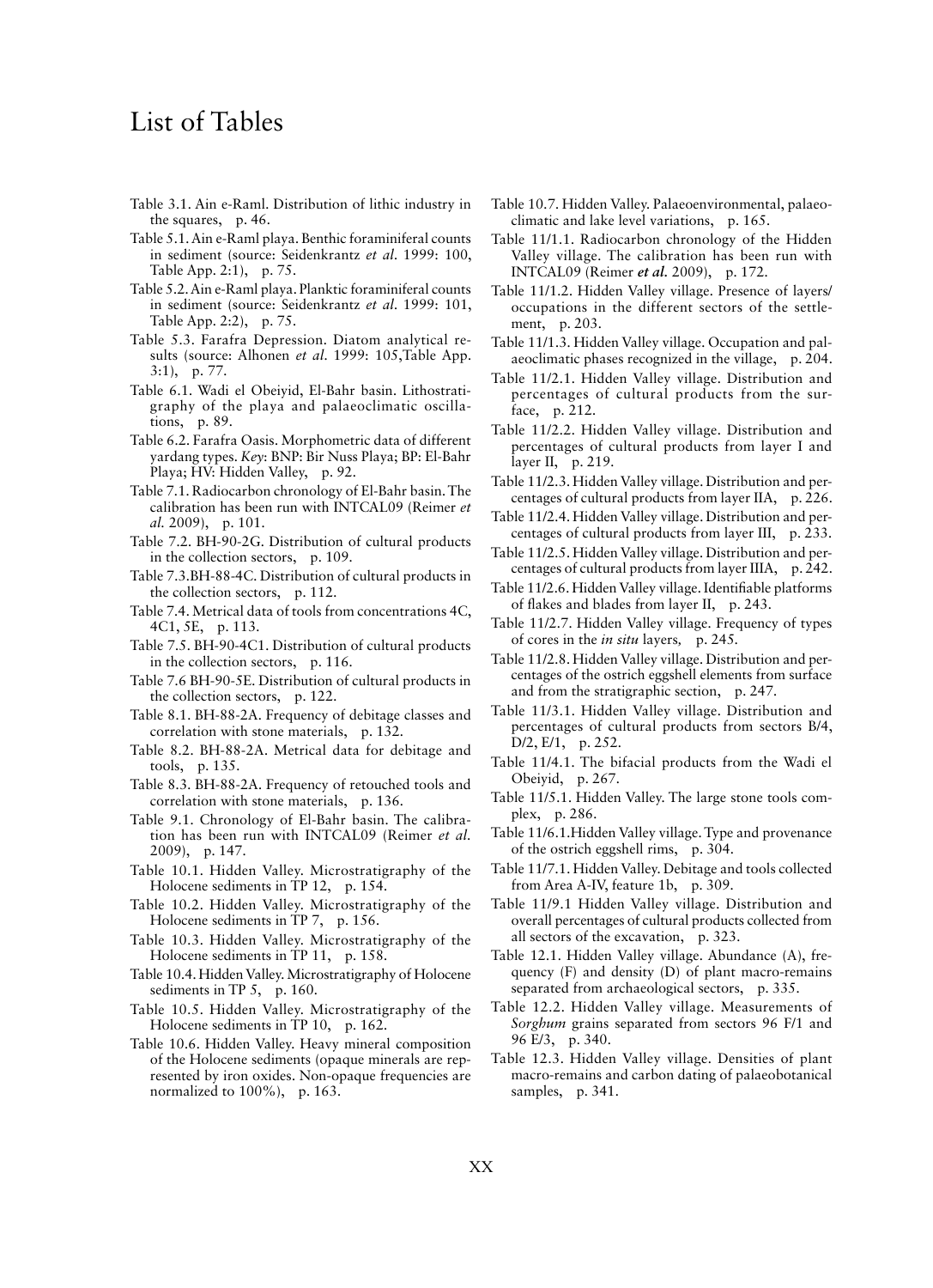# List of Tables

- Table 3.1. Ain e-Raml. Distribution of lithic industry in the squares, p. 46.
- Table 5.1. Ain e-Raml playa. Benthic foraminiferal counts in sediment (source: Seidenkrantz *et al*. 1999: 100, Table App. 2:1), p. 75.
- Table 5.2. Ain e-Raml playa. Planktic foraminiferal counts in sediment (source: Seidenkrantz *et al*. 1999: 101, Table App. 2:2), p. 75.
- Table 5.3. Farafra Depression. Diatom analytical results (source: Alhonen *et al*. 1999: 105,Table App. 3:1), p. 77.
- Table 6.1. Wadi el Obeiyid, El-Bahr basin. Lithostratigraphy of the playa and palaeoclimatic oscillations, p. 89.
- Table 6.2. Farafra Oasis. Morphometric data of different yardang types. *Key*: BNP: Bir Nuss Playa; BP: El-Bahr Playa; HV: Hidden Valley, p. 92.
- Table 7.1. Radiocarbon chronology of El-Bahr basin. The calibration has been run with INTCAL09 (Reimer *et al.* 2009), p. 101.
- Table 7.2. BH-90-2G. Distribution of cultural products in the collection sectors, p. 109.
- Table 7.3.BH-88-4C. Distribution of cultural products in the collection sectors, p. 112.
- Table 7.4. Metrical data of tools from concentrations 4C, 4C1, 5E, p. 113.
- Table 7.5. BH-90-4C1. Distribution of cultural products in the collection sectors, p. 116.
- Table 7.6 BH-90-5E. Distribution of cultural products in the collection sectors, p. 122.
- Table 8.1. BH-88-2A. Frequency of debitage classes and correlation with stone materials, p. 132.
- Table 8.2. BH-88-2A. Metrical data for debitage and tools, p. 135.
- Table 8.3. BH-88-2A. Frequency of retouched tools and correlation with stone materials, p. 136.
- Table 9.1. Chronology of El-Bahr basin. The calibration has been run with INTCAL09 (Reimer *et al.* 2009), p. 147.
- Table 10.1. Hidden Valley. Microstratigraphy of the Holocene sediments in TP 12, p. 154.
- Table 10.2. Hidden Valley. Microstratigraphy of the Holocene sediments in TP 7, p. 156.
- Table 10.3. Hidden Valley. Microstratigraphy of the Holocene sediments in TP 11, p. 158.
- Table 10.4. Hidden Valley. Microstratigraphy of Holocene sediments in TP 5, p. 160.
- Table 10.5. Hidden Valley. Microstratigraphy of the Holocene sediments in TP 10, p. 162.
- Table 10.6. Hidden Valley. Heavy mineral composition of the Holocene sediments (opaque minerals are represented by iron oxides. Non-opaque frequencies are normalized to 100%), p. 163.
- Table 10.7. Hidden Valley. Palaeoenvironmental, palaeoclimatic and lake level variations, p. 165.
- Table 11/1.1. Radiocarbon chronology of the Hidden Valley village. The calibration has been run with INTCAL09 (Reimer *et al.* 2009), p. 172.
- Table 11/1.2. Hidden Valley village. Presence of layers/ occupations in the different sectors of the settlement, p. 203.
- Table 11/1.3. Hidden Valley village. Occupation and palaeoclimatic phases recognized in the village, p. 204.
- Table 11/2.1. Hidden Valley village. Distribution and percentages of cultural products from the surface, p. 212.
- Table 11/2.2. Hidden Valley village. Distribution and percentages of cultural products from layer I and layer II, p. 219.
- Table 11/2.3. Hidden Valley village. Distribution and percentages of cultural products from layer IIA, p. 226.
- Table 11/2.4. Hidden Valley village. Distribution and percentages of cultural products from layer III, p. 233.
- Table 11/2.5. Hidden Valley village. Distribution and percentages of cultural products from layer IIIA, p. 242.
- Table 11/2.6. Hidden Valley village. Identifiable platforms of flakes and blades from layer II, p. 243.
- Table 11/2.7. Hidden Valley village. Frequency of types of cores in the *in situ* layers*,* p. 245*.*
- Table 11/2.8. Hidden Valley village. Distribution and percentages of the ostrich eggshell elements from surface and from the stratigraphic section, p. 247.
- Table 11/3.1. Hidden Valley village. Distribution and percentages of cultural products from sectors B/4, D/2, E/1, p. 252.
- Table 11/4.1. The bifacial products from the Wadi el Obeiyid, p. 267.
- Table 11/5.1. Hidden Valley. The large stone tools complex, p. 286.
- Table 11/6.1.Hidden Valley village. Type and provenance of the ostrich eggshell rims, p. 304.
- Table 11/7.1. Hidden Valley. Debitage and tools collected from Area A-IV, feature 1b, p. 309.
- Table 11/9.1 Hidden Valley village. Distribution and overall percentages of cultural products collected from all sectors of the excavation, p. 323.
- Table 12.1. Hidden Valley village. Abundance (A), frequency (F) and density (D) of plant macro-remains separated from archaeological sectors, p. 335.
- Table 12.2. Hidden Valley village. Measurements of *Sorghum* grains separated from sectors 96 F/1 and 96 E/3, p. 340.
- Table 12.3. Hidden Valley village. Densities of plant macro-remains and carbon dating of palaeobotanical samples, p. 341.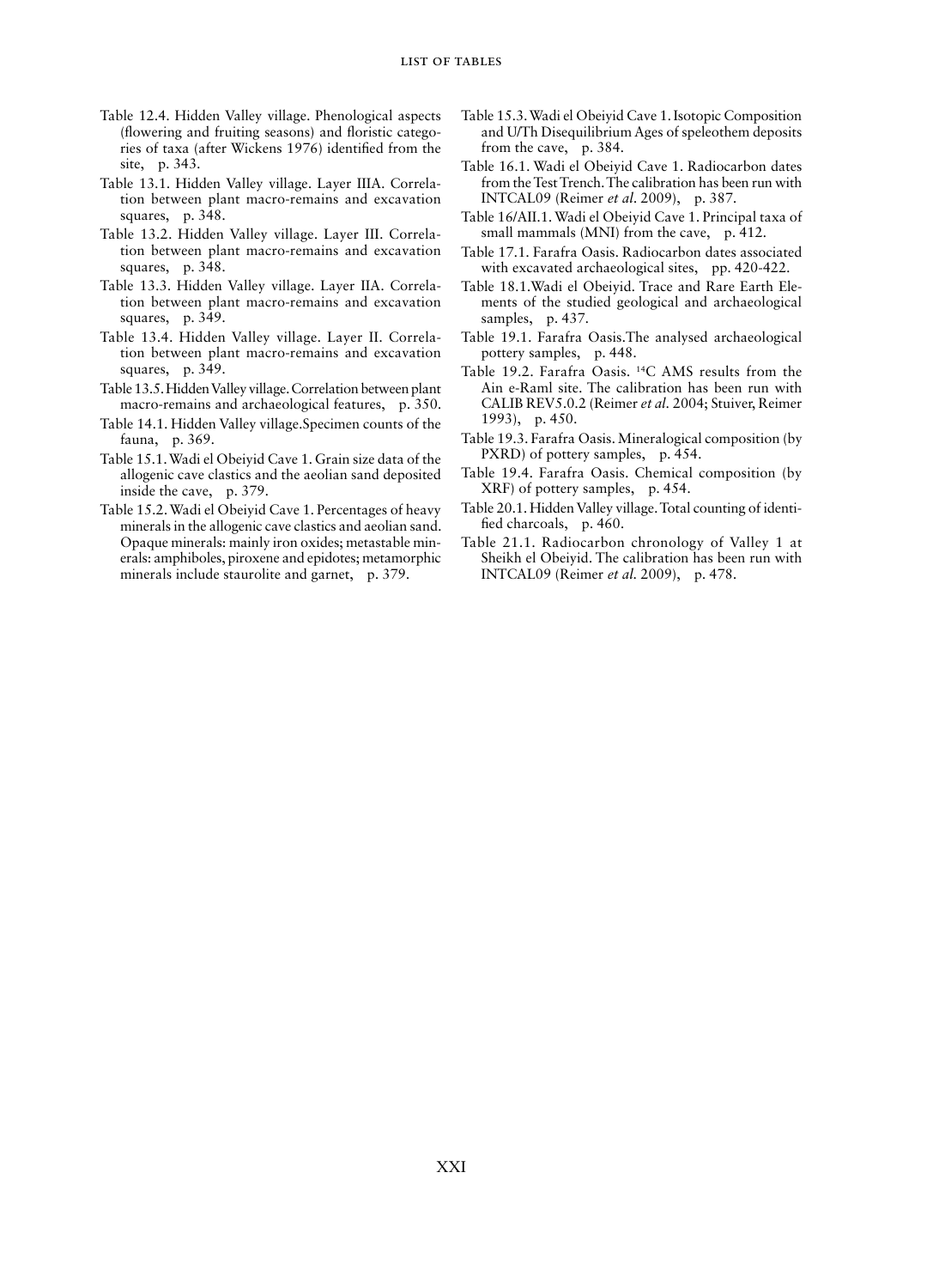- Table 12.4. Hidden Valley village. Phenological aspects (flowering and fruiting seasons) and floristic categories of taxa (after Wickens 1976) identified from the site, p. 343.
- Table 13.1. Hidden Valley village. Layer IIIA. Correlation between plant macro-remains and excavation squares, p. 348.
- Table 13.2. Hidden Valley village. Layer III. Correlation between plant macro-remains and excavation squares, p. 348.
- Table 13.3. Hidden Valley village. Layer IIA. Correlation between plant macro-remains and excavation squares, p. 349.
- Table 13.4. Hidden Valley village. Layer II. Correlation between plant macro-remains and excavation squares, p. 349.
- Table 13.5. Hidden Valley village. Correlation between plant macro-remains and archaeological features, p. 350.
- Table 14.1. Hidden Valley village.Specimen counts of the fauna, p. 369.
- Table 15.1. Wadi el Obeiyid Cave 1. Grain size data of the allogenic cave clastics and the aeolian sand deposited inside the cave, p. 379.
- Table 15.2. Wadi el Obeiyid Cave 1. Percentages of heavy minerals in the allogenic cave clastics and aeolian sand. Opaque minerals: mainly iron oxides; metastable minerals: amphiboles, piroxene and epidotes; metamorphic minerals include staurolite and garnet, p. 379.
- Table 15.3. Wadi el Obeiyid Cave 1. Isotopic Composition and U/Th Disequilibrium Ages of speleothem deposits from the cave, p. 384.
- Table 16.1. Wadi el Obeiyid Cave 1. Radiocarbon dates from the Test Trench. The calibration has been run with INTCAL09 (Reimer *et al*. 2009), p. 387.
- Table 16/AII.1. Wadi el Obeiyid Cave 1. Principal taxa of small mammals (MNI) from the cave, p. 412.
- Table 17.1. Farafra Oasis. Radiocarbon dates associated with excavated archaeological sites, pp. 420-422.
- Table 18.1.Wadi el Obeiyid. Trace and Rare Earth Elements of the studied geological and archaeological samples, p. 437.
- Table 19.1. Farafra Oasis.The analysed archaeological pottery samples, p. 448.
- Table 19.2. Farafra Oasis. 14C AMS results from the Ain e-Raml site. The calibration has been run with CALIB REV5.0.2 (Reimer *et al.* 2004; Stuiver, Reimer 1993), p. 450.
- Table 19.3. Farafra Oasis. Mineralogical composition (by PXRD) of pottery samples, p. 454.
- Table 19.4. Farafra Oasis. Chemical composition (by XRF) of pottery samples, p. 454.
- Table 20.1. Hidden Valley village. Total counting of identified charcoals, p. 460.
- Table 21.1. Radiocarbon chronology of Valley 1 at Sheikh el Obeiyid. The calibration has been run with INTCAL09 (Reimer *et al.* 2009), p. 478.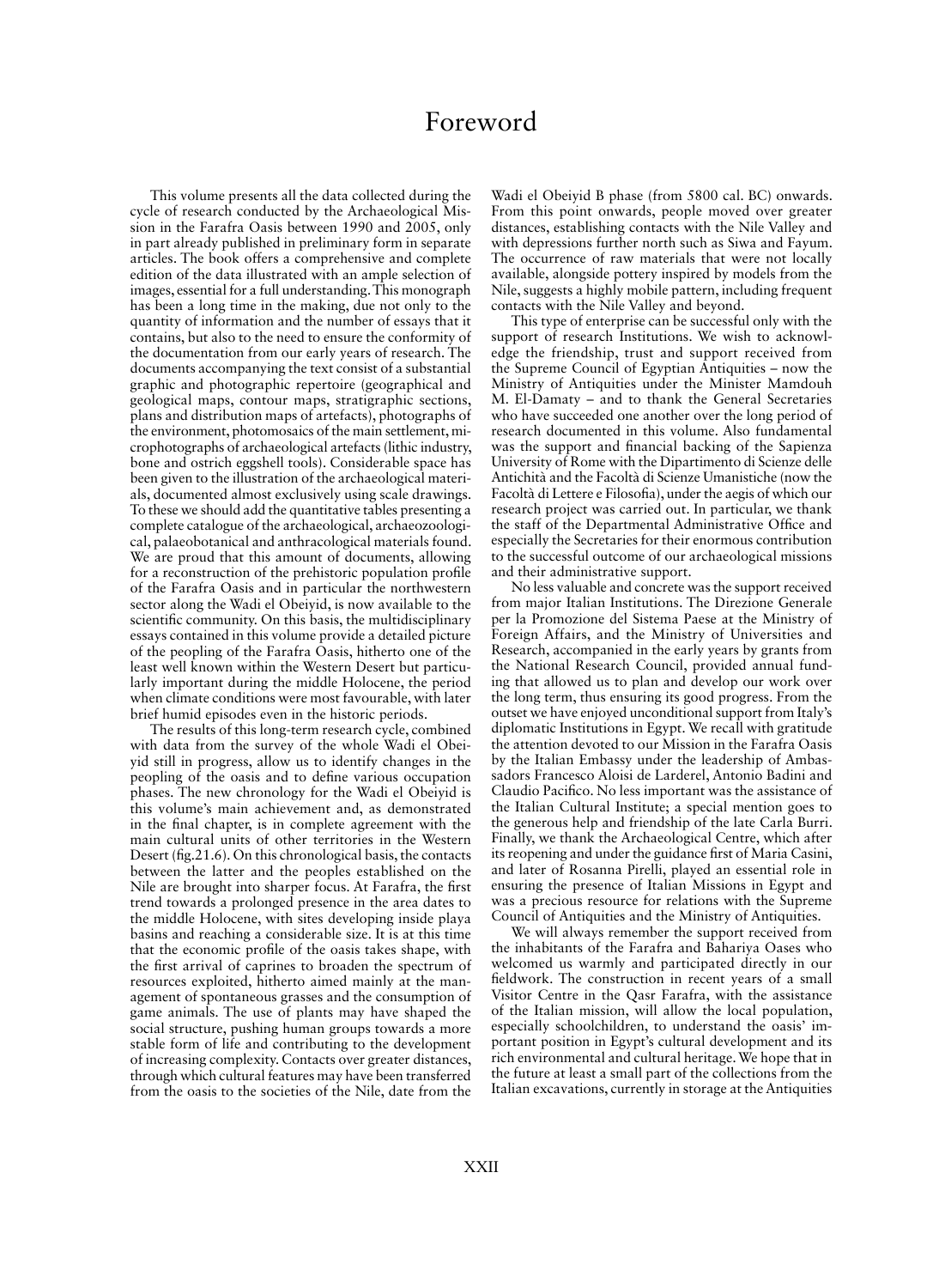## Foreword

This volume presents all the data collected during the cycle of research conducted by the Archaeological Mission in the Farafra Oasis between 1990 and 2005, only in part already published in preliminary form in separate articles. The book offers a comprehensive and complete edition of the data illustrated with an ample selection of images, essential for a full understanding. This monograph has been a long time in the making, due not only to the quantity of information and the number of essays that it contains, but also to the need to ensure the conformity of the documentation from our early years of research. The documents accompanying the text consist of a substantial graphic and photographic repertoire (geographical and geological maps, contour maps, stratigraphic sections, plans and distribution maps of artefacts), photographs of the environment, photomosaics of the main settlement, microphotographs of archaeological artefacts (lithic industry, bone and ostrich eggshell tools). Considerable space has been given to the illustration of the archaeological materials, documented almost exclusively using scale drawings. To these we should add the quantitative tables presenting a complete catalogue of the archaeological, archaeozoological, palaeobotanical and anthracological materials found. We are proud that this amount of documents, allowing for a reconstruction of the prehistoric population profile of the Farafra Oasis and in particular the northwestern sector along the Wadi el Obeiyid, is now available to the scientific community. On this basis, the multidisciplinary essays contained in this volume provide a detailed picture of the peopling of the Farafra Oasis, hitherto one of the least well known within the Western Desert but particularly important during the middle Holocene, the period when climate conditions were most favourable, with later brief humid episodes even in the historic periods.

The results of this long-term research cycle, combined with data from the survey of the whole Wadi el Obeiyid still in progress, allow us to identify changes in the peopling of the oasis and to define various occupation phases. The new chronology for the Wadi el Obeiyid is this volume's main achievement and, as demonstrated in the final chapter, is in complete agreement with the main cultural units of other territories in the Western Desert (fig.21.6). On this chronological basis, the contacts between the latter and the peoples established on the Nile are brought into sharper focus. At Farafra, the first trend towards a prolonged presence in the area dates to the middle Holocene, with sites developing inside playa basins and reaching a considerable size. It is at this time that the economic profile of the oasis takes shape, with the first arrival of caprines to broaden the spectrum of resources exploited, hitherto aimed mainly at the management of spontaneous grasses and the consumption of game animals. The use of plants may have shaped the social structure, pushing human groups towards a more stable form of life and contributing to the development of increasing complexity. Contacts over greater distances, through which cultural features may have been transferred from the oasis to the societies of the Nile, date from the

Wadi el Obeiyid B phase (from 5800 cal. BC) onwards. From this point onwards, people moved over greater distances, establishing contacts with the Nile Valley and with depressions further north such as Siwa and Fayum. The occurrence of raw materials that were not locally available, alongside pottery inspired by models from the Nile, suggests a highly mobile pattern, including frequent contacts with the Nile Valley and beyond.

This type of enterprise can be successful only with the support of research Institutions. We wish to acknowledge the friendship, trust and support received from the Supreme Council of Egyptian Antiquities – now the Ministry of Antiquities under the Minister Mamdouh M. El-Damaty – and to thank the General Secretaries who have succeeded one another over the long period of research documented in this volume. Also fundamental was the support and financial backing of the Sapienza University of Rome with the Dipartimento di Scienze delle Antichità and the Facoltà di Scienze Umanistiche (now the Facoltà di Lettere e Filosofia), under the aegis of which our research project was carried out. In particular, we thank the staff of the Departmental Administrative Office and especially the Secretaries for their enormous contribution to the successful outcome of our archaeological missions and their administrative support.

No less valuable and concrete was the support received from major Italian Institutions. The Direzione Generale per la Promozione del Sistema Paese at the Ministry of Foreign Affairs, and the Ministry of Universities and Research, accompanied in the early years by grants from the National Research Council, provided annual funding that allowed us to plan and develop our work over the long term, thus ensuring its good progress. From the outset we have enjoyed unconditional support from Italy's diplomatic Institutions in Egypt. We recall with gratitude the attention devoted to our Mission in the Farafra Oasis by the Italian Embassy under the leadership of Ambassadors Francesco Aloisi de Larderel, Antonio Badini and Claudio Pacifico. No less important was the assistance of the Italian Cultural Institute; a special mention goes to the generous help and friendship of the late Carla Burri. Finally, we thank the Archaeological Centre, which after its reopening and under the guidance first of Maria Casini, and later of Rosanna Pirelli, played an essential role in ensuring the presence of Italian Missions in Egypt and was a precious resource for relations with the Supreme Council of Antiquities and the Ministry of Antiquities.

We will always remember the support received from the inhabitants of the Farafra and Bahariya Oases who welcomed us warmly and participated directly in our fieldwork. The construction in recent years of a small Visitor Centre in the Qasr Farafra, with the assistance of the Italian mission, will allow the local population, especially schoolchildren, to understand the oasis' important position in Egypt's cultural development and its rich environmental and cultural heritage. We hope that in the future at least a small part of the collections from the Italian excavations, currently in storage at the Antiquities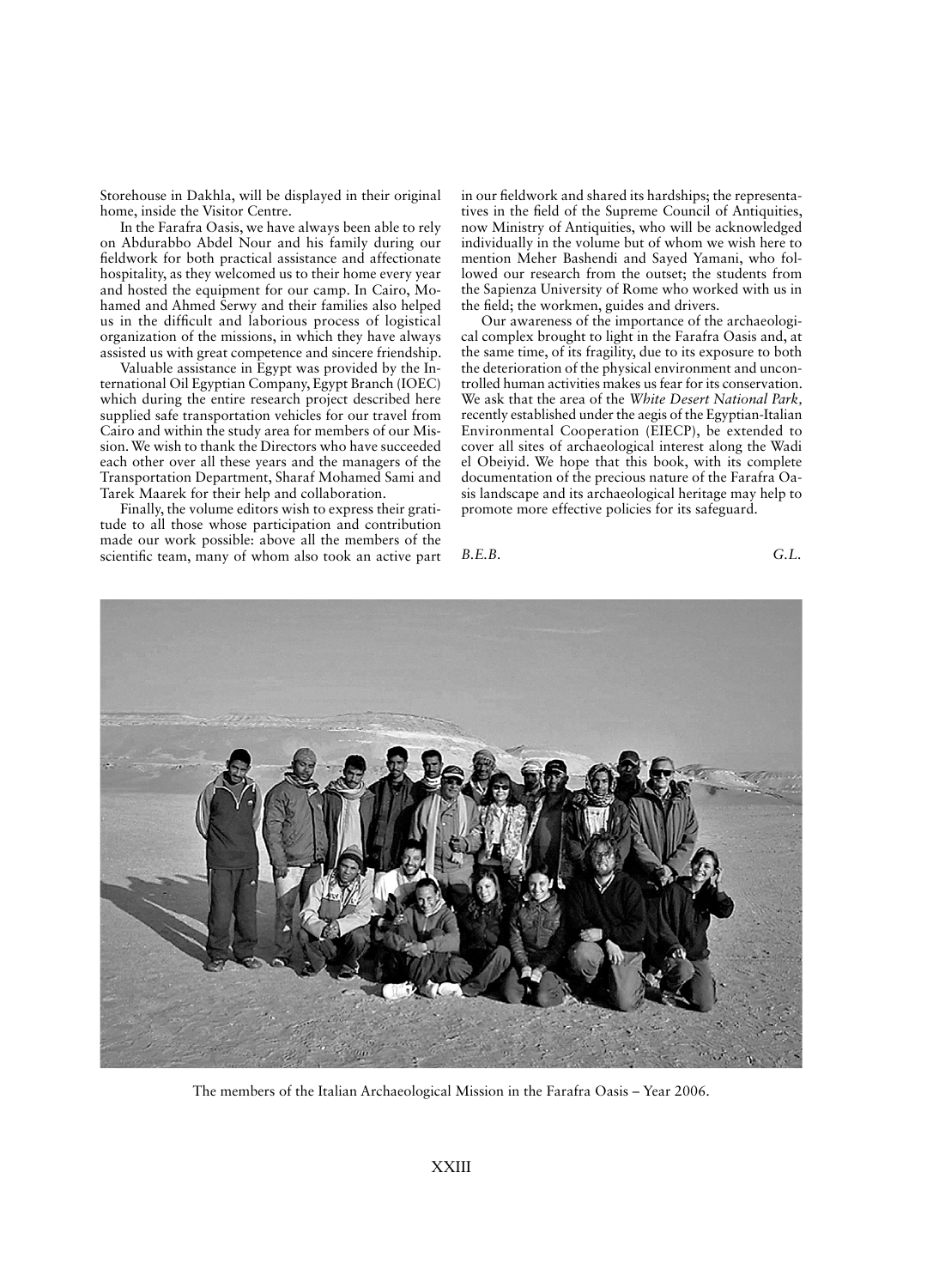Storehouse in Dakhla, will be displayed in their original home, inside the Visitor Centre.

In the Farafra Oasis, we have always been able to rely on Abdurabbo Abdel Nour and his family during our fieldwork for both practical assistance and affectionate hospitality, as they welcomed us to their home every year and hosted the equipment for our camp. In Cairo, Mohamed and Ahmed Serwy and their families also helped us in the difficult and laborious process of logistical organization of the missions, in which they have always assisted us with great competence and sincere friendship.

Valuable assistance in Egypt was provided by the International Oil Egyptian Company, Egypt Branch (IOEC) which during the entire research project described here supplied safe transportation vehicles for our travel from Cairo and within the study area for members of our Mission. We wish to thank the Directors who have succeeded each other over all these years and the managers of the Transportation Department, Sharaf Mohamed Sami and Tarek Maarek for their help and collaboration.

Finally, the volume editors wish to express their gratitude to all those whose participation and contribution made our work possible: above all the members of the scientific team, many of whom also took an active part in our fieldwork and shared its hardships; the representatives in the field of the Supreme Council of Antiquities, now Ministry of Antiquities, who will be acknowledged individually in the volume but of whom we wish here to mention Meher Bashendi and Sayed Yamani, who followed our research from the outset; the students from the Sapienza University of Rome who worked with us in the field; the workmen, guides and drivers.

Our awareness of the importance of the archaeological complex brought to light in the Farafra Oasis and, at the same time, of its fragility, due to its exposure to both the deterioration of the physical environment and uncontrolled human activities makes us fear for its conservation. We ask that the area of the *White Desert National Park,*  recently established under the aegis of the Egyptian-Italian Environmental Cooperation (EIECP), be extended to cover all sites of archaeological interest along the Wadi el Obeiyid. We hope that this book, with its complete documentation of the precious nature of the Farafra Oasis landscape and its archaeological heritage may help to promote more effective policies for its safeguard.

*B.E.B. G.L.*



The members of the Italian Archaeological Mission in the Farafra Oasis – Year 2006.